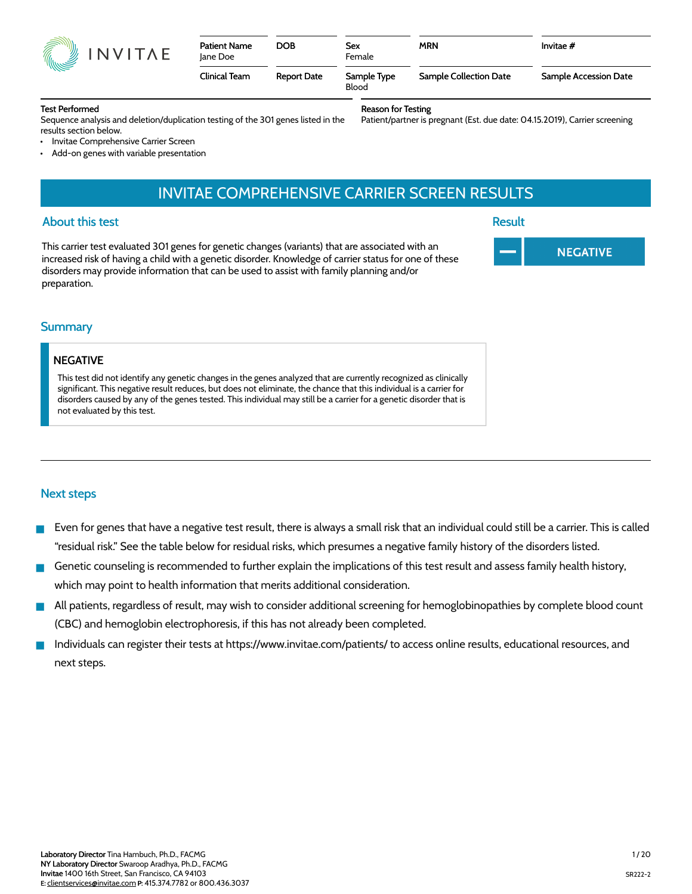|  | INVITAE |
|--|---------|
|--|---------|

| <b>Patient Name</b><br>Jane Doe | <b>DOB</b>         | Sex<br>Female        | <b>MRN</b>             | Invitae $#$           |
|---------------------------------|--------------------|----------------------|------------------------|-----------------------|
| Clinical Team                   | <b>Report Date</b> | Sample Type<br>Blood | Sample Collection Date | Sample Accession Date |

#### Test Performed

Sequence analysis and deletion/duplication testing of the 301 genes listed in the results section below.

Reason for Testing

Patient/partner is pregnant (Est. due date: 04.15.2019), Carrier screening

- Invitae Comprehensive Carrier Screen
- Add-on genes with variable presentation

# INVITAE COMPREHENSIVE CARRIER SCREEN RESULTS

#### About this test

This carrier test evaluated 301 genes for genetic changes (variants) that are associated with an increased risk of having a child with a genetic disorder. Knowledge of carrier status for one of these disorders may provide information that can be used to assist with family planning and/or preparation.

Result



#### **Summary**

#### NEGATIVE

This test did not identify any genetic changes in the genes analyzed that are currently recognized as clinically significant. This negative result reduces, but does not eliminate, the chance that this individual is a carrier for disorders caused by any of the genes tested. This individual may still be a carrier for a genetic disorder that is not evaluated by this test.

#### Next steps

- Even for genes that have a negative test result, there is always a small risk that an individual could still be a carrier. This is called "residual risk." See the table below for residual risks, which presumes a negative family history of the disorders listed.
- Genetic counseling is recommended to further explain the implications of this test result and assess family health history, which may point to health information that merits additional consideration.
- All patients, regardless of result, may wish to consider additional screening for hemoglobinopathies by complete blood count (CBC) and hemoglobin electrophoresis, if this has not already been completed.
- Individuals can register their tests at https://www.invitae.com/patients/ to access online results, educational resources, and next steps.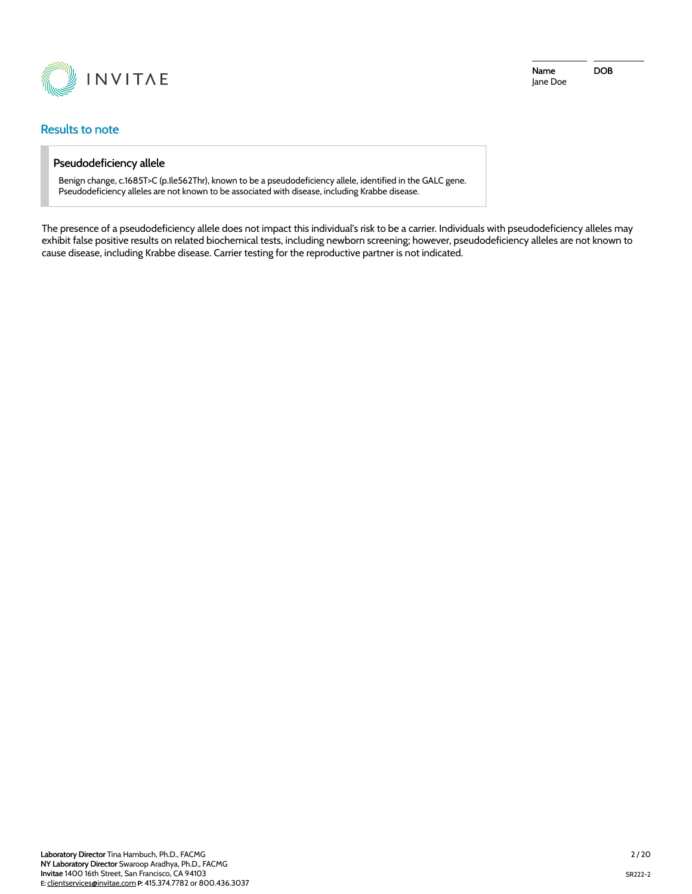

### Results to note

#### Pseudodeficiency allele

Benign change, c.1685T>C (p.Ile562Thr), known to be a pseudodeficiency allele, identified in the GALC gene. Pseudodeficiency alleles are not known to be associated with disease, including Krabbe disease.

The presence of a pseudodeficiency allele does not impact this individual's risk to be a carrier. Individuals with pseudodeficiency alleles may exhibit false positive results on related biochemical tests, including newborn screening; however, pseudodeficiency alleles are not known to cause disease, including Krabbe disease. Carrier testing for the reproductive partner is not indicated.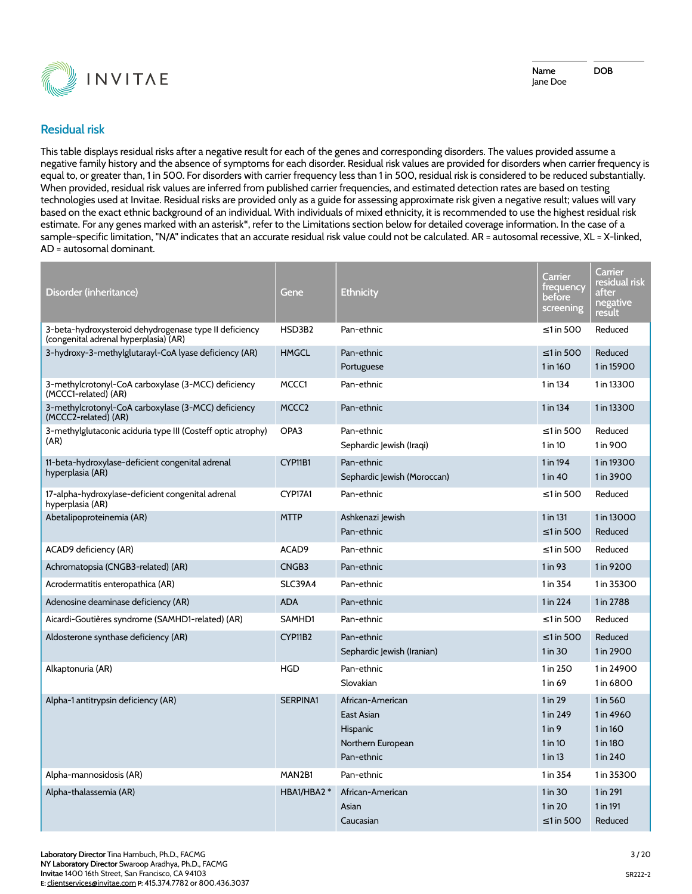

### **Residual risk**

This table displays residual risks after a negative result for each of the genes and corresponding disorders. The values provided assume a negative family history and the absence of symptoms for each disorder. Residual risk values are provided for disorders when carrier frequency is equal to, or greater than, 1 in 500. For disorders with carrier frequency less than 1 in 500, residual risk is considered to be reduced substantially. When provided, residual risk values are inferred from published carrier frequencies, and estimated detection rates are based on testing technologies used at Invitae. Residual risks are provided only as a guide for assessing approximate risk given a negative result; values will vary based on the exact ethnic background of an individual. With individuals of mixed ethnicity, it is recommended to use the highest residual risk estimate. For any genes marked with an asterisk\*, refer to the Limitations section below for detailed coverage information. In the case of a sample-specific limitation, "N/A" indicates that an accurate residual risk value could not be calculated. AR = autosomal recessive, XL = X-linked, AD = autosomal dominant.

| Disorder (inheritance)                                                                          | Gene              | <b>Ethnicity</b>                                                              | Carrier<br>frequency<br>before<br>screening             | Carrier<br>residual risk<br>after<br>negative<br>result   |
|-------------------------------------------------------------------------------------------------|-------------------|-------------------------------------------------------------------------------|---------------------------------------------------------|-----------------------------------------------------------|
| 3-beta-hydroxysteroid dehydrogenase type II deficiency<br>(congenital adrenal hyperplasia) (AR) | HSD3B2            | Pan-ethnic                                                                    | $\leq$ 1 in 500                                         | Reduced                                                   |
| 3-hydroxy-3-methylglutarayl-CoA lyase deficiency (AR)                                           | <b>HMGCL</b>      | Pan-ethnic<br>Portuguese                                                      | $\leq$ 1 in 500<br>1 in 160                             | Reduced<br>1 in 15900                                     |
| 3-methylcrotonyl-CoA carboxylase (3-MCC) deficiency<br>(MCCC1-related) (AR)                     | MCCC1             | Pan-ethnic                                                                    | 1 in 134                                                | 1 in 13300                                                |
| 3-methylcrotonyl-CoA carboxylase (3-MCC) deficiency<br>(MCCC2-related) (AR)                     | MCCC <sub>2</sub> | Pan-ethnic                                                                    | 1 in 134                                                | 1 in 13300                                                |
| 3-methylglutaconic aciduria type III (Costeff optic atrophy)<br>(AR)                            | OPA3              | Pan-ethnic<br>Sephardic Jewish (Iraqi)                                        | $\leq$ 1 in 500<br>1 in 10                              | Reduced<br>1 in 900                                       |
| 11-beta-hydroxylase-deficient congenital adrenal<br>hyperplasia (AR)                            | CYP11B1           | Pan-ethnic<br>Sephardic Jewish (Moroccan)                                     | 1 in 194<br>$1$ in $40$                                 | 1 in 19300<br>1 in 3900                                   |
| 17-alpha-hydroxylase-deficient congenital adrenal<br>hyperplasia (AR)                           | CYP17A1           | Pan-ethnic                                                                    | $\leq$ 1 in 500                                         | Reduced                                                   |
| Abetalipoproteinemia (AR)                                                                       | <b>MTTP</b>       | Ashkenazi lewish<br>Pan-ethnic                                                | 1 in 131<br>$\leq$ 1 in 500                             | 1 in 13000<br>Reduced                                     |
| ACAD9 deficiency (AR)                                                                           | ACAD <sub>9</sub> | Pan-ethnic                                                                    | $\leq$ 1 in 500                                         | Reduced                                                   |
| Achromatopsia (CNGB3-related) (AR)                                                              | CNGB3             | Pan-ethnic                                                                    | 1 in 93                                                 | 1 in 9200                                                 |
| Acrodermatitis enteropathica (AR)                                                               | <b>SLC39A4</b>    | Pan-ethnic                                                                    | 1 in 354                                                | 1 in 35300                                                |
| Adenosine deaminase deficiency (AR)                                                             | <b>ADA</b>        | Pan-ethnic                                                                    | 1 in 224                                                | 1 in 2788                                                 |
| Aicardi-Goutières syndrome (SAMHD1-related) (AR)                                                | SAMHD1            | Pan-ethnic                                                                    | $\leq$ 1 in 500                                         | Reduced                                                   |
| Aldosterone synthase deficiency (AR)                                                            | CYP11B2           | Pan-ethnic<br>Sephardic Jewish (Iranian)                                      | $\leq$ 1 in 500<br>1 in 30                              | Reduced<br>1 in 2900                                      |
| Alkaptonuria (AR)                                                                               | <b>HGD</b>        | Pan-ethnic<br>Slovakian                                                       | 1 in 250<br>1 in 69                                     | 1 in 24900<br>1 in 6800                                   |
| Alpha-1 antitrypsin deficiency (AR)                                                             | <b>SERPINA1</b>   | African-American<br>East Asian<br>Hispanic<br>Northern European<br>Pan-ethnic | $1$ in 29<br>1 in 249<br>1 in 9<br>1 in 10<br>$1$ in 13 | 1 in 560<br>1 in 4960<br>1 in 160<br>1 in 180<br>1 in 240 |
| Alpha-mannosidosis (AR)                                                                         | MAN2B1            | Pan-ethnic                                                                    | 1 in 354                                                | 1 in 35300                                                |
| Alpha-thalassemia (AR)                                                                          | HBA1/HBA2 *       | African-American<br>Asian<br>Caucasian                                        | 1 in 30<br>$1$ in 20<br>$\leq$ 1 in 500                 | 1 in 291<br>1 in 191<br>Reduced                           |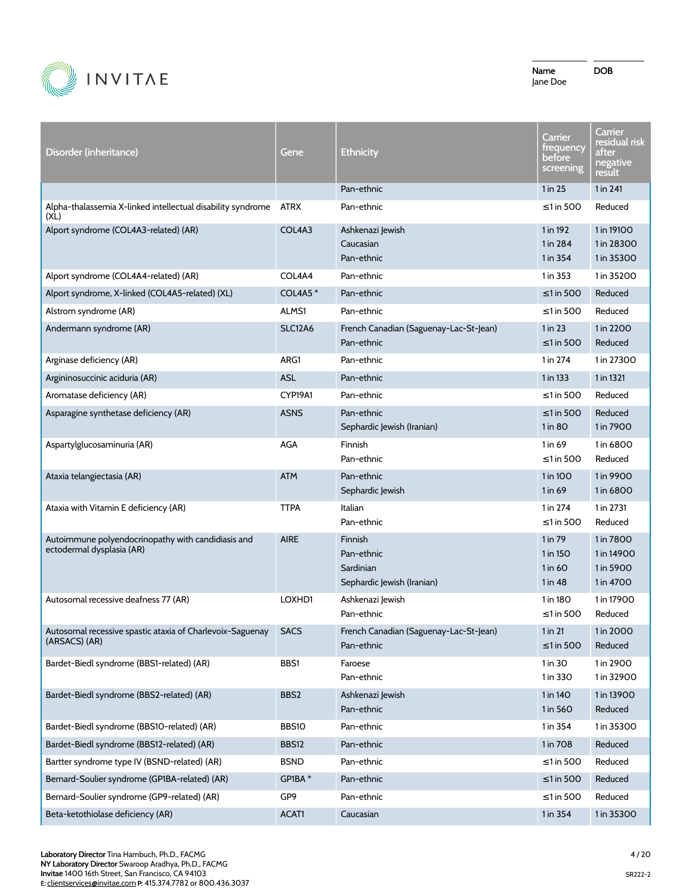

| Disorder (inheritance)                                                          | Gene           | <b>Ethnicity</b>                                                 | Carrier<br>frequency<br>before<br>screening | Carrier<br>residual risk<br>after<br>negative<br>result |
|---------------------------------------------------------------------------------|----------------|------------------------------------------------------------------|---------------------------------------------|---------------------------------------------------------|
|                                                                                 |                | Pan-ethnic                                                       | 1 in 25                                     | 1 in 241                                                |
| Alpha-thalassemia X-linked intellectual disability syndrome<br>(XL)             | <b>ATRX</b>    | Pan-ethnic                                                       | $\leq$ 1 in 500                             | Reduced                                                 |
| Alport syndrome (COL4A3-related) (AR)                                           | COL4A3         | Ashkenazi Jewish<br>Caucasian<br>Pan-ethnic                      | 1 in 192<br>1 in 284<br>1 in 354            | 1 in 19100<br>1 in 28300<br>1 in 35300                  |
| Alport syndrome (COL4A4-related) (AR)                                           | COL4A4         | Pan-ethnic                                                       | 1 in 353                                    | 1 in 35200                                              |
| Alport syndrome, X-linked (COL4A5-related) (XL)                                 | <b>COL4A5*</b> | Pan-ethnic                                                       | $\leq$ 1 in 500                             | Reduced                                                 |
| Alstrom syndrome (AR)                                                           | ALMS1          | Pan-ethnic                                                       | ≤1 in 500                                   | Reduced                                                 |
| Andermann syndrome (AR)                                                         | <b>SLC12A6</b> | French Canadian (Saguenay-Lac-St-Jean)<br>Pan-ethnic             | 1 in 23<br>≤1 in 500                        | 1 in 2200<br>Reduced                                    |
| Arginase deficiency (AR)                                                        | ARG1           | Pan-ethnic                                                       | 1 in 274                                    | 1 in 27300                                              |
| Argininosuccinic aciduria (AR)                                                  | <b>ASL</b>     | Pan-ethnic                                                       | 1 in 133                                    | 1 in 1321                                               |
| Aromatase deficiency (AR)                                                       | CYP19A1        | Pan-ethnic                                                       | ≤1 in 500                                   | Reduced                                                 |
| Asparagine synthetase deficiency (AR)                                           | <b>ASNS</b>    | Pan-ethnic<br>Sephardic Jewish (Iranian)                         | ≤1 in 500<br>1 in 80                        | Reduced<br>1 in 7900                                    |
| Aspartylglucosaminuria (AR)                                                     | AGA            | Finnish<br>Pan-ethnic                                            | 1 in 69<br>≤1 in 500                        | 1 in 6800<br>Reduced                                    |
| Ataxia telangiectasia (AR)                                                      | <b>ATM</b>     | Pan-ethnic<br>Sephardic Jewish                                   | 1 in 100<br>1 in 69                         | 1 in 9900<br>1 in 6800                                  |
| Ataxia with Vitamin E deficiency (AR)                                           | <b>TTPA</b>    | Italian<br>Pan-ethnic                                            | 1 in 274<br>≤1 in 500                       | 1 in 2731<br>Reduced                                    |
| Autoimmune polyendocrinopathy with candidiasis and<br>ectodermal dysplasia (AR) | <b>AIRE</b>    | Finnish<br>Pan-ethnic<br>Sardinian<br>Sephardic Jewish (Iranian) | 1 in 79<br>1 in 150<br>$1$ in 60<br>1 in 48 | 1 in 7800<br>1 in 14900<br>1 in 5900<br>1 in 4700       |
| Autosomal recessive deafness 77 (AR)                                            | LOXHD1         | Ashkenazi Jewish<br>Pan-ethnic                                   | 1 in 180<br>$\leq$ 1 in 500                 | 1 in 17900<br>Reduced                                   |
| Autosomal recessive spastic ataxia of Charlevoix-Saguenay SACS<br>(ARSACS) (AR) |                | French Canadian (Saguenay-Lac-St-Jean)<br>Pan-ethnic             | 1 in 21<br>$\leq$ 1 in 500                  | 1 in 2000<br>Reduced                                    |
| Bardet-Biedl syndrome (BBS1-related) (AR)                                       | BBS1           | Faroese<br>Pan-ethnic                                            | 1 in 30<br>1 in 330                         | 1 in 2900<br>1 in 32900                                 |
| Bardet-Biedl syndrome (BBS2-related) (AR)                                       | BBS2           | Ashkenazi Jewish<br>Pan-ethnic                                   | 1 in 140<br>1 in 560                        | 1 in 13900<br>Reduced                                   |
| Bardet-Biedl syndrome (BBS10-related) (AR)                                      | BBS10          | Pan-ethnic                                                       | 1 in 354                                    | 1 in 35300                                              |
| Bardet-Biedl syndrome (BBS12-related) (AR)                                      | BBS12          | Pan-ethnic                                                       | 1 in 708                                    | Reduced                                                 |
| Bartter syndrome type IV (BSND-related) (AR)                                    | <b>BSND</b>    | Pan-ethnic                                                       | $\leq$ 1 in 500                             | Reduced                                                 |
| Bernard-Soulier syndrome (GP1BA-related) (AR)                                   | GP1BA*         | Pan-ethnic                                                       | $\leq$ 1 in 500                             | Reduced                                                 |
| Bernard-Soulier syndrome (GP9-related) (AR)                                     | GP9            | Pan-ethnic                                                       | ≤1 in 500                                   | Reduced                                                 |
| Beta-ketothiolase deficiency (AR)                                               | ACAT1          | Caucasian                                                        | 1 in 354                                    | 1 in 35300                                              |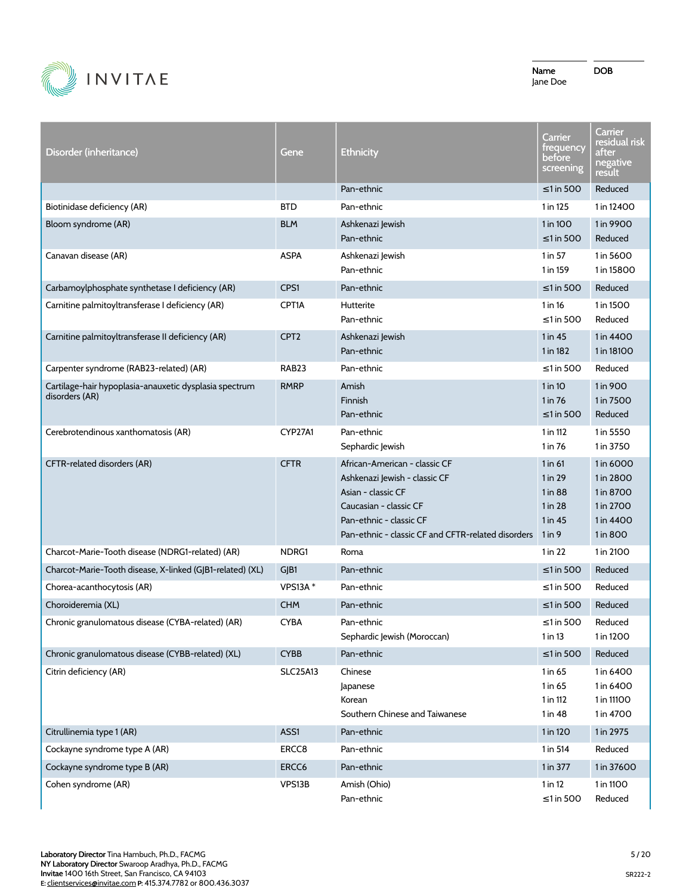

| Disorder (inheritance)                                                   | Gene              | <b>Ethnicity</b>                                                                                                                                                                                | Carrier<br>trequency<br>before<br>screening                     | Carrier<br>residual risk<br>after<br>negative<br>result                   |
|--------------------------------------------------------------------------|-------------------|-------------------------------------------------------------------------------------------------------------------------------------------------------------------------------------------------|-----------------------------------------------------------------|---------------------------------------------------------------------------|
|                                                                          |                   | Pan-ethnic                                                                                                                                                                                      | $\leq$ 1 in 500                                                 | Reduced                                                                   |
| Biotinidase deficiency (AR)                                              | <b>BTD</b>        | Pan-ethnic                                                                                                                                                                                      | 1 in 125                                                        | 1 in 12400                                                                |
| Bloom syndrome (AR)                                                      | <b>BLM</b>        | Ashkenazi Jewish<br>Pan-ethnic                                                                                                                                                                  | 1 in 100<br>$\leq$ 1 in 500                                     | 1 in 9900<br>Reduced                                                      |
| Canavan disease (AR)                                                     | <b>ASPA</b>       | Ashkenazi Jewish<br>Pan-ethnic                                                                                                                                                                  | $1$ in 57<br>1 in 159                                           | 1 in 5600<br>1 in 15800                                                   |
| Carbamoylphosphate synthetase I deficiency (AR)                          | CPS1              | Pan-ethnic                                                                                                                                                                                      | $\leq$ 1 in 500                                                 | Reduced                                                                   |
| Carnitine palmitoyltransferase I deficiency (AR)                         | CPT1A             | <b>Hutterite</b><br>Pan-ethnic                                                                                                                                                                  | 1 in 16<br>$\leq$ 1 in 500                                      | 1 in 1500<br>Reduced                                                      |
| Carnitine palmitoyltransferase II deficiency (AR)                        | CPT <sub>2</sub>  | Ashkenazi Jewish<br>Pan-ethnic                                                                                                                                                                  | 1 in 45<br>1 in 182                                             | 1 in 4400<br>1 in 18100                                                   |
| Carpenter syndrome (RAB23-related) (AR)                                  | RAB <sub>23</sub> | Pan-ethnic                                                                                                                                                                                      | $\leq$ 1 in 500                                                 | Reduced                                                                   |
| Cartilage-hair hypoplasia-anauxetic dysplasia spectrum<br>disorders (AR) | <b>RMRP</b>       | Amish<br>Finnish<br>Pan-ethnic                                                                                                                                                                  | $1$ in $10$<br>1 in 76<br>$\leq$ 1 in 500                       | 1 in 900<br>1 in 7500<br>Reduced                                          |
| Cerebrotendinous xanthomatosis (AR)                                      | CYP27A1           | Pan-ethnic<br>Sephardic Jewish                                                                                                                                                                  | 1 in 112<br>1 in 76                                             | 1 in 5550<br>1 in 3750                                                    |
| CFTR-related disorders (AR)                                              | <b>CFTR</b>       | African-American - classic CF<br>Ashkenazi Jewish - classic CF<br>Asian - classic CF<br>Caucasian - classic CF<br>Pan-ethnic - classic CF<br>Pan-ethnic - classic CF and CFTR-related disorders | $1$ in 61<br>1 in 29<br>1 in 88<br>1 in 28<br>1 in 45<br>1 in 9 | 1 in 6000<br>1 in 2800<br>1 in 8700<br>1 in 2700<br>1 in 4400<br>1 in 800 |
| Charcot-Marie-Tooth disease (NDRG1-related) (AR)                         | NDRG1             | Roma                                                                                                                                                                                            | $1$ in 22                                                       | 1 in 2100                                                                 |
| Charcot-Marie-Tooth disease, X-linked (GJB1-related) (XL)                | GJB1              | Pan-ethnic                                                                                                                                                                                      | $\leq$ 1 in 500                                                 | Reduced                                                                   |
| Chorea-acanthocytosis (AR)                                               | <b>VPS13A*</b>    | Pan-ethnic                                                                                                                                                                                      | ≤1 in 500                                                       | Reduced                                                                   |
| Choroideremia (XL)                                                       | <b>CHM</b>        | Pan-ethnic                                                                                                                                                                                      | $\leq$ 1 in 500                                                 | Reduced                                                                   |
| Chronic granulomatous disease (CYBA-related) (AR)                        | <b>CYBA</b>       | Pan-ethnic<br>Sephardic Jewish (Moroccan)                                                                                                                                                       | $\leq$ 1 in 500<br>1 in 13                                      | Reduced<br>1 in 1200                                                      |
| Chronic granulomatous disease (CYBB-related) (XL)                        | <b>CYBB</b>       | Pan-ethnic                                                                                                                                                                                      | $\leq$ 1 in 500                                                 | Reduced                                                                   |
| Citrin deficiency (AR)                                                   | <b>SLC25A13</b>   | Chinese<br>Japanese<br>Korean<br>Southern Chinese and Taiwanese                                                                                                                                 | 1 in 65<br>1 in 65<br>1 in 112<br>1 in 48                       | 1 in 6400<br>1 in 6400<br>1 in 11100<br>1 in 4700                         |
| Citrullinemia type 1 (AR)                                                | ASS1              | Pan-ethnic                                                                                                                                                                                      | 1 in 120                                                        | 1 in 2975                                                                 |
| Cockayne syndrome type A (AR)                                            | ERCC8             | Pan-ethnic                                                                                                                                                                                      | 1 in 514                                                        | Reduced                                                                   |
| Cockayne syndrome type B (AR)                                            | ERCC6             | Pan-ethnic                                                                                                                                                                                      | 1 in 377                                                        | 1 in 37600                                                                |
| Cohen syndrome (AR)                                                      | VPS13B            | Amish (Ohio)<br>Pan-ethnic                                                                                                                                                                      | 1 in 12<br>$\leq$ 1 in 500                                      | 1 in 1100<br>Reduced                                                      |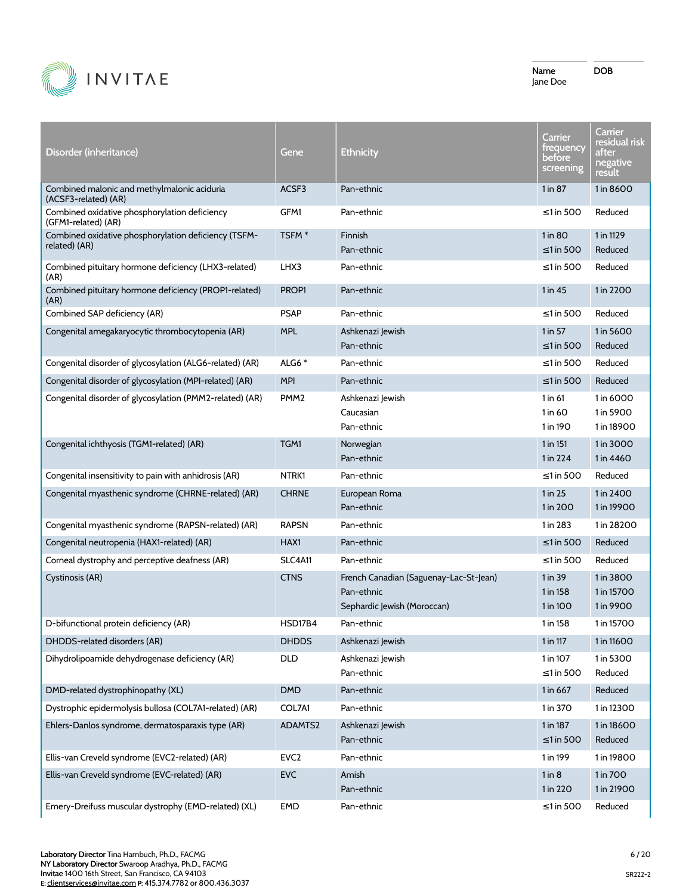

| Disorder (inheritance)                                                | Gene              | Ethnicity                                                                           | Carrier<br><b>trequency</b><br>before<br>screening | Carrier<br>residual risk<br>after<br>negative<br>result |
|-----------------------------------------------------------------------|-------------------|-------------------------------------------------------------------------------------|----------------------------------------------------|---------------------------------------------------------|
| Combined malonic and methylmalonic aciduria<br>(ACSF3-related) (AR)   | ACSF3             | Pan-ethnic                                                                          | $1$ in $87$                                        | 1 in 8600                                               |
| Combined oxidative phosphorylation deficiency<br>(GFM1-related) (AR)  | GFM1              | Pan-ethnic                                                                          | ≤1 in 500                                          | Reduced                                                 |
| Combined oxidative phosphorylation deficiency (TSFM-<br>related) (AR) | TSFM <sup>*</sup> | Finnish<br>Pan-ethnic                                                               | 1 in 80<br>$\leq$ 1 in 500                         | 1 in 1129<br>Reduced                                    |
| Combined pituitary hormone deficiency (LHX3-related)<br>(AR)          | LHX3              | Pan-ethnic                                                                          | ≤1 in 500                                          | Reduced                                                 |
| Combined pituitary hormone deficiency (PROP1-related)<br>(AR)         | PROP1             | Pan-ethnic                                                                          | 1 in 45                                            | 1 in 2200                                               |
| Combined SAP deficiency (AR)                                          | <b>PSAP</b>       | Pan-ethnic                                                                          | ≤1 in 500                                          | Reduced                                                 |
| Congenital amegakaryocytic thrombocytopenia (AR)                      | <b>MPL</b>        | Ashkenazi Jewish<br>Pan-ethnic                                                      | 1 in 57<br>$\leq$ 1 in 500                         | 1 in 5600<br>Reduced                                    |
| Congenital disorder of glycosylation (ALG6-related) (AR)              | ALG6 $*$          | Pan-ethnic                                                                          | ≤1 in 500                                          | Reduced                                                 |
| Congenital disorder of glycosylation (MPI-related) (AR)               | <b>MPI</b>        | Pan-ethnic                                                                          | $\leq$ 1 in 500                                    | Reduced                                                 |
| Congenital disorder of glycosylation (PMM2-related) (AR)              | PMM <sub>2</sub>  | Ashkenazi lewish<br>Caucasian<br>Pan-ethnic                                         | 1 in 61<br>1 in 60<br>1 in 190                     | 1 in 6000<br>1 in 5900<br>1 in 18900                    |
| Congenital ichthyosis (TGM1-related) (AR)                             | TGM1              | Norwegian<br>Pan-ethnic                                                             | 1 in 151<br>1 in 224                               | 1 in 3000<br>1 in 4460                                  |
| Congenital insensitivity to pain with anhidrosis (AR)                 | NTRK1             | Pan-ethnic                                                                          | ≤1 in 500                                          | Reduced                                                 |
| Congenital myasthenic syndrome (CHRNE-related) (AR)                   | <b>CHRNE</b>      | European Roma<br>Pan-ethnic                                                         | 1 in 25<br>1 in 200                                | 1 in 2400<br>1 in 19900                                 |
| Congenital myasthenic syndrome (RAPSN-related) (AR)                   | <b>RAPSN</b>      | Pan-ethnic                                                                          | 1 in 283                                           | 1 in 28200                                              |
| Congenital neutropenia (HAX1-related) (AR)                            | HAX1              | Pan-ethnic                                                                          | $\leq$ 1 in 500                                    | Reduced                                                 |
| Corneal dystrophy and perceptive deafness (AR)                        | <b>SLC4A11</b>    | Pan-ethnic                                                                          | ≤1 in 500                                          | Reduced                                                 |
| Cystinosis (AR)                                                       | <b>CTNS</b>       | French Canadian (Saguenay-Lac-St-Jean)<br>Pan-ethnic<br>Sephardic Jewish (Moroccan) | 1 in 39<br>1 in 158<br>1 in 100                    | 1 in 3800<br>1 in 15700<br>1 in 9900                    |
| D-bifunctional protein deficiency (AR)                                | HSD17B4           | Pan-ethnic                                                                          | 1 in 158                                           | 1 in 15700                                              |
| DHDDS-related disorders (AR)                                          | <b>DHDDS</b>      | Ashkenazi Jewish                                                                    | 1 in 117                                           | 1 in 11600                                              |
| Dihydrolipoamide dehydrogenase deficiency (AR)                        | <b>DLD</b>        | Ashkenazi Jewish<br>Pan-ethnic                                                      | 1 in 107<br>$\leq$ 1 in 500                        | 1 in 5300<br>Reduced                                    |
| DMD-related dystrophinopathy (XL)                                     | <b>DMD</b>        | Pan-ethnic                                                                          | 1 in 667                                           | Reduced                                                 |
| Dystrophic epidermolysis bullosa (COL7A1-related) (AR)                | COL7A1            | Pan-ethnic                                                                          | 1 in 370                                           | 1 in 12300                                              |
| Ehlers-Danlos syndrome, dermatosparaxis type (AR)                     | ADAMTS2           | Ashkenazi Jewish<br>Pan-ethnic                                                      | 1 in 187<br>$\leq 1$ in 500                        | 1 in 18600<br>Reduced                                   |
| Ellis-van Creveld syndrome (EVC2-related) (AR)                        | EVC <sub>2</sub>  | Pan-ethnic                                                                          | 1 in 199                                           | 1 in 19800                                              |
| Ellis-van Creveld syndrome (EVC-related) (AR)                         | <b>EVC</b>        | Amish<br>Pan-ethnic                                                                 | 1 in 8<br>1 in 220                                 | 1 in 700<br>1 in 21900                                  |
| Emery-Dreifuss muscular dystrophy (EMD-related) (XL)                  | <b>EMD</b>        | Pan-ethnic                                                                          | $\leq$ 1 in 500                                    | Reduced                                                 |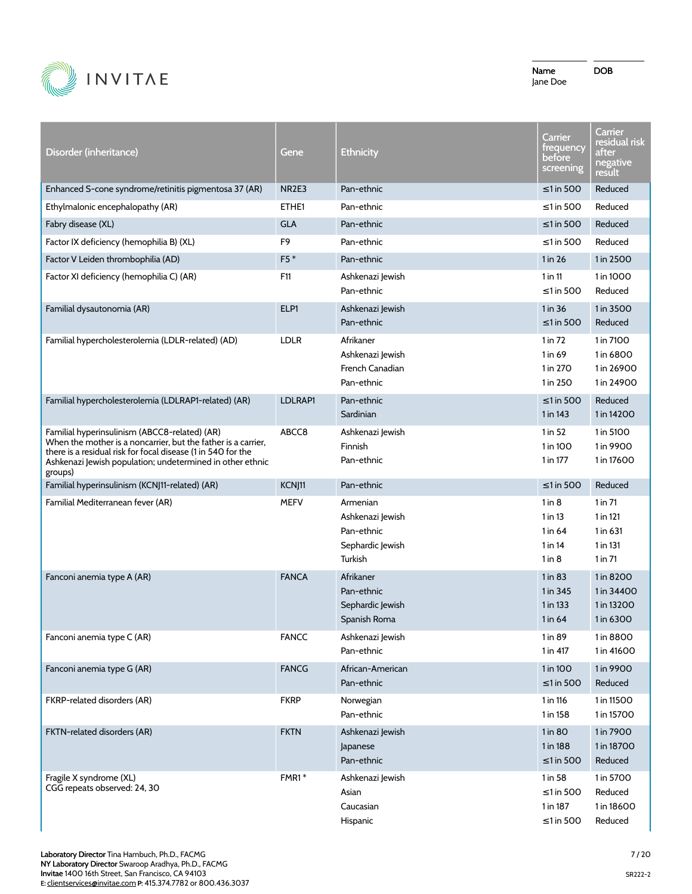

| Disorder (inheritance)                                                                                                                                                                                                                                 | Gene              | <b>Ethnicity</b>                                                          | <u>Carrier</u><br>trequency<br>before<br>screening          | Carrier<br>residual r <u>isk</u><br>after<br>negative<br>result |
|--------------------------------------------------------------------------------------------------------------------------------------------------------------------------------------------------------------------------------------------------------|-------------------|---------------------------------------------------------------------------|-------------------------------------------------------------|-----------------------------------------------------------------|
| Enhanced S-cone syndrome/retinitis pigmentosa 37 (AR)                                                                                                                                                                                                  | NR <sub>2E3</sub> | Pan-ethnic                                                                | ≤1 in 500                                                   | Reduced                                                         |
| Ethylmalonic encephalopathy (AR)                                                                                                                                                                                                                       | ETHE1             | Pan-ethnic                                                                | $\leq$ 1 in 500                                             | Reduced                                                         |
| Fabry disease (XL)                                                                                                                                                                                                                                     | <b>GLA</b>        | Pan-ethnic                                                                | $\leq$ 1 in 500                                             | Reduced                                                         |
| Factor IX deficiency (hemophilia B) (XL)                                                                                                                                                                                                               | F9                | Pan-ethnic                                                                | $\leq$ 1 in 500                                             | Reduced                                                         |
| Factor V Leiden thrombophilia (AD)                                                                                                                                                                                                                     | $F5*$             | Pan-ethnic                                                                | 1 in 26                                                     | 1 in 2500                                                       |
| Factor XI deficiency (hemophilia C) (AR)                                                                                                                                                                                                               | F11               | Ashkenazi Jewish<br>Pan-ethnic                                            | $1$ in $11$<br>≤1 in 500                                    | 1 in 1000<br>Reduced                                            |
| Familial dysautonomia (AR)                                                                                                                                                                                                                             | ELP1              | Ashkenazi Jewish<br>Pan-ethnic                                            | 1 in 36<br>≤1 in 500                                        | 1 in 3500<br>Reduced                                            |
| Familial hypercholesterolemia (LDLR-related) (AD)                                                                                                                                                                                                      | <b>LDLR</b>       | Afrikaner<br>Ashkenazi Jewish<br>French Canadian<br>Pan-ethnic            | 1 in 72<br>1 in 69<br>1 in 270<br>1 in 250                  | 1 in 7100<br>1 in 6800<br>1 in 26900<br>1 in 24900              |
| Familial hypercholesterolemia (LDLRAP1-related) (AR)                                                                                                                                                                                                   | LDLRAP1           | Pan-ethnic<br>Sardinian                                                   | $\leq$ 1 in 500<br>1 in 143                                 | Reduced<br>1 in 14200                                           |
| Familial hyperinsulinism (ABCC8-related) (AR)<br>When the mother is a noncarrier, but the father is a carrier,<br>there is a residual risk for focal disease (1 in 540 for the<br>Ashkenazi Jewish population; undetermined in other ethnic<br>groups) | ABCC8             | Ashkenazi Jewish<br>Finnish<br>Pan-ethnic                                 | $1$ in 52<br>1 in 100<br>1 in 177                           | 1 in 5100<br>1 in 9900<br>1 in 17600                            |
| Familial hyperinsulinism (KCNJ11-related) (AR)                                                                                                                                                                                                         | KCNJ11            | Pan-ethnic                                                                | ≤1 in 500                                                   | Reduced                                                         |
| Familial Mediterranean fever (AR)                                                                                                                                                                                                                      | <b>MEFV</b>       | Armenian<br>Ashkenazi Jewish<br>Pan-ethnic<br>Sephardic Jewish<br>Turkish | $1$ in $8$<br>1 in 13<br>1 in 64<br>$1$ in 14<br>$1$ in $8$ | $1$ in $71$<br>1 in 121<br>1 in 631<br>1 in 131<br>$1$ in $71$  |
| Fanconi anemia type A (AR)                                                                                                                                                                                                                             | <b>FANCA</b>      | Afrikaner<br>Pan-ethnic<br>Sephardic Jewish<br>Spanish Roma               | $1$ in 83<br>1 in 345<br>1 in 133<br>1 in 64                | 1 in 8200<br>1 in 34400<br>1 in 13200<br>1 in 6300              |
| Fanconi anemia type C (AR)                                                                                                                                                                                                                             | <b>FANCC</b>      | Ashkenazi Jewish<br>Pan-ethnic                                            | 1 in 89<br>1 in 417                                         | 1 in 8800<br>1 in 41600                                         |
| Fanconi anemia type G (AR)                                                                                                                                                                                                                             | <b>FANCG</b>      | African-American<br>Pan-ethnic                                            | 1 in 100<br>$\leq 1$ in 500                                 | 1 in 9900<br>Reduced                                            |
| FKRP-related disorders (AR)                                                                                                                                                                                                                            | <b>FKRP</b>       | Norwegian<br>Pan-ethnic                                                   | 1 in 116<br>1 in 158                                        | 1 in 11500<br>1 in 15700                                        |
| FKTN-related disorders (AR)                                                                                                                                                                                                                            | <b>FKTN</b>       | Ashkenazi Jewish<br>Japanese<br>Pan-ethnic                                | 1 in 80<br>1 in 188<br>$\leq$ 1 in 500                      | 1 in 7900<br>1 in 18700<br>Reduced                              |
| Fragile X syndrome (XL)<br>CGG repeats observed: 24, 30                                                                                                                                                                                                | FMR1*             | Ashkenazi Jewish<br>Asian<br>Caucasian<br>Hispanic                        | 1 in 58<br>$\leq$ 1 in 500<br>1 in 187<br>$\leq$ 1 in 500   | 1 in 5700<br>Reduced<br>1 in 18600<br>Reduced                   |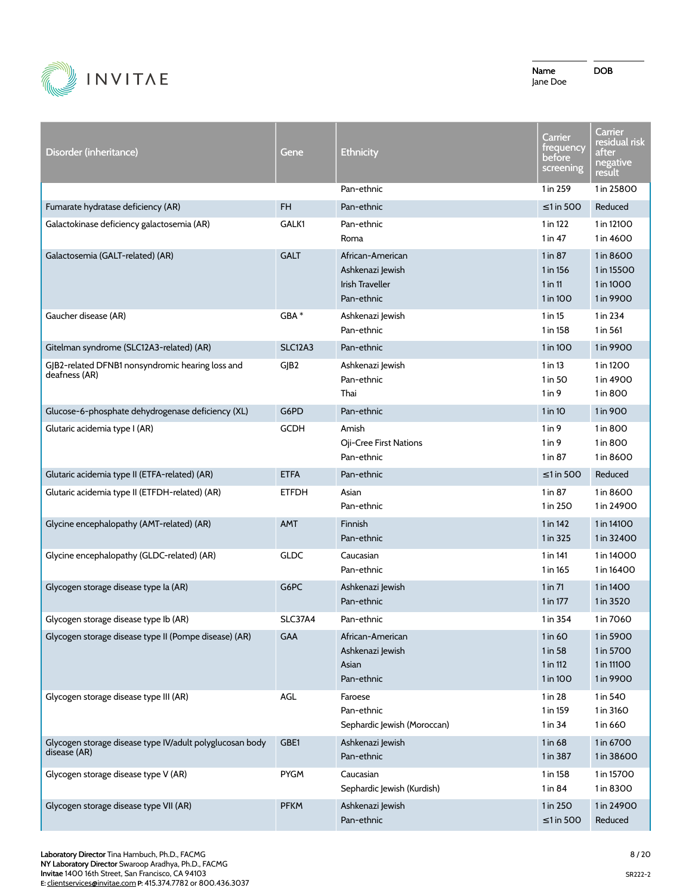

| Disorder (inheritance)                                                   | Gene           | <b>Ethnicity</b>                                                             | Carrier<br>trequency<br>before<br>screening    | Carrier<br>residual risk<br>after<br>negative<br>result |
|--------------------------------------------------------------------------|----------------|------------------------------------------------------------------------------|------------------------------------------------|---------------------------------------------------------|
|                                                                          |                | Pan-ethnic                                                                   | 1 in 259                                       | 1 in 25800                                              |
| Fumarate hydratase deficiency (AR)                                       | FH             | Pan-ethnic                                                                   | $\leq$ 1 in 500                                | Reduced                                                 |
| Galactokinase deficiency galactosemia (AR)                               | GALK1          | Pan-ethnic<br>Roma                                                           | 1 in 122<br>1 in 47                            | 1 in 12100<br>1 in 4600                                 |
| Galactosemia (GALT-related) (AR)                                         | <b>GALT</b>    | African-American<br>Ashkenazi Jewish<br><b>Irish Traveller</b><br>Pan-ethnic | 1 in 87<br>1 in 156<br>$1$ in $11$<br>1 in 100 | 1 in 8600<br>1 in 15500<br>1 in 1000<br>1 in 9900       |
| Gaucher disease (AR)                                                     | GBA *          | Ashkenazi Jewish<br>Pan-ethnic                                               | 1 in 15<br>1 in 158                            | 1 in 234<br>1 in 561                                    |
| Gitelman syndrome (SLC12A3-related) (AR)                                 | <b>SLC12A3</b> | Pan-ethnic                                                                   | 1 in 100                                       | 1 in 9900                                               |
| GJB2-related DFNB1 nonsyndromic hearing loss and<br>deafness (AR)        | GJB2           | Ashkenazi Jewish<br>Pan-ethnic<br>Thai                                       | $1$ in 13<br>1 in 50<br>1 in 9                 | 1 in 1200<br>1 in 4900<br>1 in 800                      |
| Glucose-6-phosphate dehydrogenase deficiency (XL)                        | G6PD           | Pan-ethnic                                                                   | 1 in 10                                        | 1 in 900                                                |
| Glutaric acidemia type I (AR)                                            | <b>GCDH</b>    | Amish<br>Oji-Cree First Nations<br>Pan-ethnic                                | $1$ in $9$<br>$1$ in $9$<br>1 in 87            | 1 in 800<br>1 in 800<br>1 in 8600                       |
| Glutaric acidemia type II (ETFA-related) (AR)                            | <b>ETFA</b>    | Pan-ethnic                                                                   | $\leq$ 1 in 500                                | Reduced                                                 |
| Glutaric acidemia type II (ETFDH-related) (AR)                           | <b>ETFDH</b>   | Asian<br>Pan-ethnic                                                          | 1 in 87<br>1 in 250                            | 1 in 8600<br>1 in 24900                                 |
| Glycine encephalopathy (AMT-related) (AR)                                | <b>AMT</b>     | Finnish<br>Pan-ethnic                                                        | 1 in 142<br>1 in 325                           | 1 in 14100<br>1 in 32400                                |
| Glycine encephalopathy (GLDC-related) (AR)                               | <b>GLDC</b>    | Caucasian<br>Pan-ethnic                                                      | 1 in 141<br>1 in 165                           | 1 in 14000<br>1 in 16400                                |
| Glycogen storage disease type la (AR)                                    | G6PC           | Ashkenazi Jewish<br>Pan-ethnic                                               | $1$ in $71$<br>1 in 177                        | 1 in 1400<br>1 in 3520                                  |
| Glycogen storage disease type Ib (AR)                                    | <b>SLC37A4</b> | Pan-ethnic                                                                   | 1 in 354                                       | 1 in 7060                                               |
| Glycogen storage disease type II (Pompe disease) (AR)                    | GAA            | African-American<br>Ashkenazi Jewish<br>Asian<br>Pan-ethnic                  | 1 in 60<br>1 in 58<br>1 in 112<br>1 in 100     | 1 in 5900<br>1 in 5700<br>1 in 11100<br>1 in 9900       |
| Glycogen storage disease type III (AR)                                   | AGL            | Faroese<br>Pan-ethnic<br>Sephardic Jewish (Moroccan)                         | 1 in 28<br>1 in 159<br>1 in 34                 | 1 in 540<br>1 in 3160<br>1 in 660                       |
| Glycogen storage disease type IV/adult polyglucosan body<br>disease (AR) | GBE1           | Ashkenazi Jewish<br>Pan-ethnic                                               | 1 in 68<br>1 in 387                            | 1 in 6700<br>1 in 38600                                 |
| Glycogen storage disease type V (AR)                                     | <b>PYGM</b>    | Caucasian<br>Sephardic Jewish (Kurdish)                                      | 1 in 158<br>1 in 84                            | 1 in 15700<br>1 in 8300                                 |
| Glycogen storage disease type VII (AR)                                   | <b>PFKM</b>    | Ashkenazi Jewish<br>Pan-ethnic                                               | 1 in 250<br>$\leq$ 1 in 500                    | 1 in 24900<br>Reduced                                   |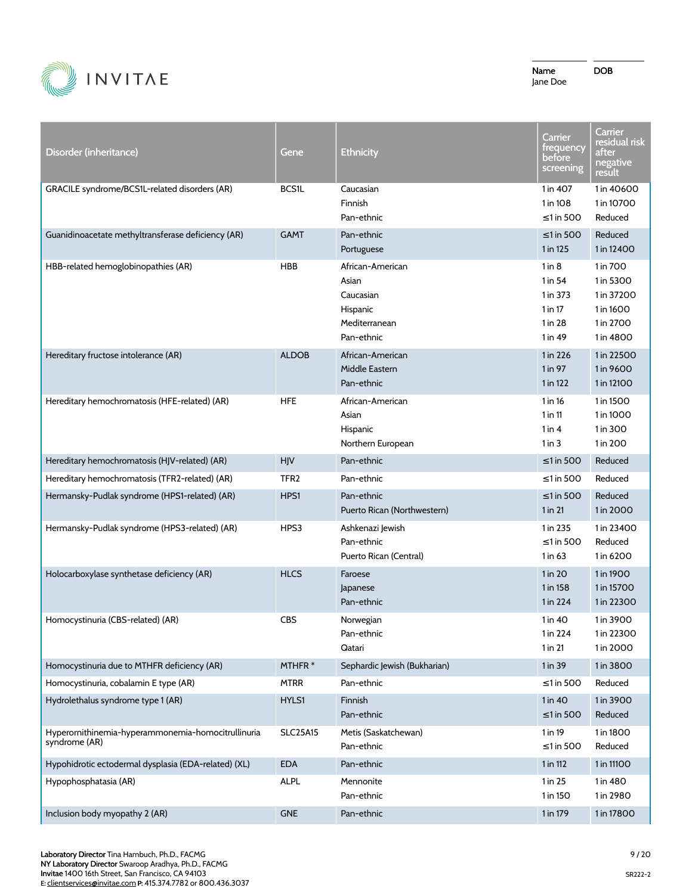

| Disorder (inheritance)                                              | Gene             | <b>Ethnicity</b>                                                                  | Carrier<br>frequency<br>before<br>screening                            | <b>Carrier</b><br>residual risk<br>after<br>negative<br>result             |
|---------------------------------------------------------------------|------------------|-----------------------------------------------------------------------------------|------------------------------------------------------------------------|----------------------------------------------------------------------------|
| GRACILE syndrome/BCS1L-related disorders (AR)                       | <b>BCS1L</b>     | Caucasian<br>Finnish<br>Pan-ethnic                                                | 1 in 407<br>1 in 108<br>≤1 in 500                                      | 1 in 40600<br>1 in 10700<br>Reduced                                        |
| Guanidinoacetate methyltransferase deficiency (AR)                  | <b>GAMT</b>      | Pan-ethnic<br>Portuguese                                                          | ≤1 in 500<br>1 in 125                                                  | Reduced<br>1 in 12400                                                      |
| HBB-related hemoglobinopathies (AR)                                 | <b>HBB</b>       | African-American<br>Asian<br>Caucasian<br>Hispanic<br>Mediterranean<br>Pan-ethnic | $1$ in $8$<br>$1$ in 54<br>1 in 373<br>$1$ in 17<br>1 in 28<br>1 in 49 | 1 in 700<br>1 in 5300<br>1 in 37200<br>1 in 1600<br>1 in 2700<br>1 in 4800 |
| Hereditary fructose intolerance (AR)                                | <b>ALDOB</b>     | African-American<br>Middle Eastern<br>Pan-ethnic                                  | 1 in 226<br>1 in 97<br>1 in 122                                        | 1 in 22500<br>1 in 9600<br>1 in 12100                                      |
| Hereditary hemochromatosis (HFE-related) (AR)                       | <b>HFE</b>       | African-American<br>Asian<br>Hispanic<br>Northern European                        | 1 in 16<br>$1$ in $11$<br>$1$ in $4$<br>1 in 3                         | 1 in 1500<br>1 in 1000<br>1 in 300<br>1 in 200                             |
| Hereditary hemochromatosis (HJV-related) (AR)                       | HJV              | Pan-ethnic                                                                        | $\leq$ 1 in 500                                                        | Reduced                                                                    |
| Hereditary hemochromatosis (TFR2-related) (AR)                      | TFR <sub>2</sub> | Pan-ethnic                                                                        | $\leq$ 1 in 500                                                        | Reduced                                                                    |
| Hermansky-Pudlak syndrome (HPS1-related) (AR)                       | HPS1             | Pan-ethnic<br>Puerto Rican (Northwestern)                                         | $\leq$ 1 in 500<br>1 in 21                                             | Reduced<br>1 in 2000                                                       |
| Hermansky-Pudlak syndrome (HPS3-related) (AR)                       | HPS3             | Ashkenazi Jewish<br>Pan-ethnic<br>Puerto Rican (Central)                          | 1 in 235<br>$\leq$ 1 in 500<br>1 in 63                                 | 1 in 23400<br>Reduced<br>1 in 6200                                         |
| Holocarboxylase synthetase deficiency (AR)                          | <b>HLCS</b>      | Faroese<br>Japanese<br>Pan-ethnic                                                 | 1 in 20<br>1 in 158<br>1 in 224                                        | 1 in 1900<br>1 in 15700<br>1 in 22300                                      |
| Homocystinuria (CBS-related) (AR)                                   | <b>CBS</b>       | Norwegian<br>Pan-ethnic<br>Qatari                                                 | 1 in 40<br>1 in 224<br>1 in 21                                         | 1 in 3900<br>1 in 22300<br>1 in 2000                                       |
| Homocystinuria due to MTHFR deficiency (AR)                         | MTHFR*           | Sephardic Jewish (Bukharian)                                                      | 1 in 39                                                                | 1 in 3800                                                                  |
| Homocystinuria, cobalamin E type (AR)                               | <b>MTRR</b>      | Pan-ethnic                                                                        | $\leq$ 1 in 500                                                        | Reduced                                                                    |
| Hydrolethalus syndrome type 1 (AR)                                  | HYLS1            | Finnish<br>Pan-ethnic                                                             | 1 in 40<br>$\leq$ 1 in 500                                             | 1 in 3900<br>Reduced                                                       |
| Hyperornithinemia-hyperammonemia-homocitrullinuria<br>syndrome (AR) | <b>SLC25A15</b>  | Metis (Saskatchewan)<br>Pan-ethnic                                                | 1 in 19<br>$\leq$ 1 in 500                                             | 1 in 1800<br>Reduced                                                       |
| Hypohidrotic ectodermal dysplasia (EDA-related) (XL)                | <b>EDA</b>       | Pan-ethnic                                                                        | 1 in 112                                                               | 1 in 11100                                                                 |
| Hypophosphatasia (AR)                                               | <b>ALPL</b>      | Mennonite<br>Pan-ethnic                                                           | 1 in 25<br>1 in 150                                                    | 1 in 480<br>1 in 2980                                                      |
| Inclusion body myopathy 2 (AR)                                      | <b>GNE</b>       | Pan-ethnic                                                                        | 1 in 179                                                               | 1 in 17800                                                                 |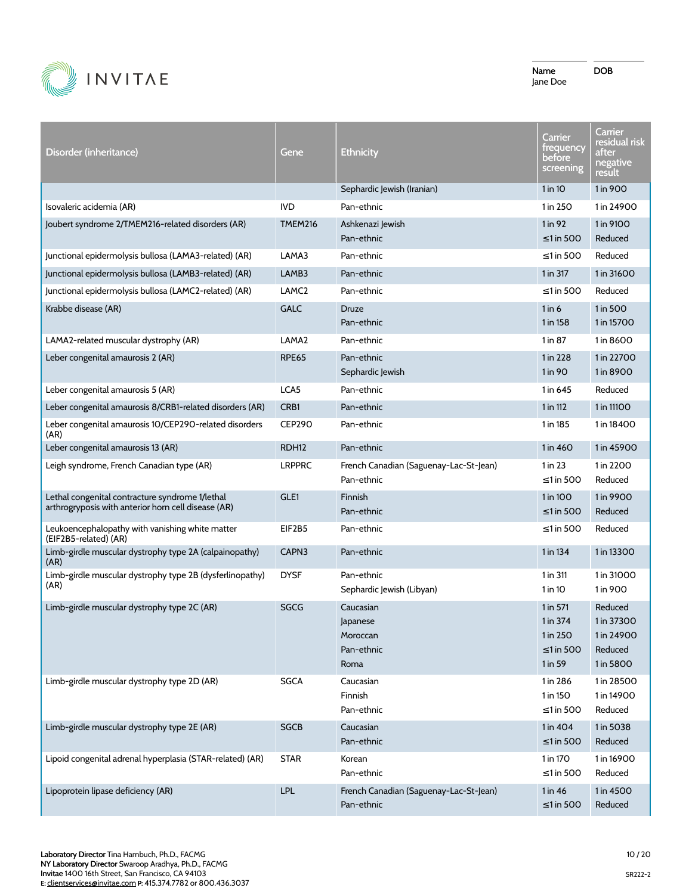

| Disorder (inheritance)                                                                                 | Gene              | <b>Ethnicity</b>                                        | Carrier<br>trequency<br>before<br>screening                    | Carrier<br>residual risk<br>after<br>negative<br>result     |
|--------------------------------------------------------------------------------------------------------|-------------------|---------------------------------------------------------|----------------------------------------------------------------|-------------------------------------------------------------|
|                                                                                                        |                   | Sephardic Jewish (Iranian)                              | 1 in 10                                                        | 1 in 900                                                    |
| Isovaleric acidemia (AR)                                                                               | <b>IVD</b>        | Pan-ethnic                                              | 1 in 250                                                       | 1 in 24900                                                  |
| Joubert syndrome 2/TMEM216-related disorders (AR)                                                      | <b>TMEM216</b>    | Ashkenazi Jewish<br>Pan-ethnic                          | 1 in 92<br>$\leq$ 1 in 500                                     | 1 in 9100<br>Reduced                                        |
| Junctional epidermolysis bullosa (LAMA3-related) (AR)                                                  | LAMA3             | Pan-ethnic                                              | ≤1 in 500                                                      | Reduced                                                     |
| Junctional epidermolysis bullosa (LAMB3-related) (AR)                                                  | LAMB3             | Pan-ethnic                                              | 1 in 317                                                       | 1 in 31600                                                  |
| Junctional epidermolysis bullosa (LAMC2-related) (AR)                                                  | LAMC <sub>2</sub> | Pan-ethnic                                              | $\leq$ 1 in 500                                                | Reduced                                                     |
| Krabbe disease (AR)                                                                                    | <b>GALC</b>       | <b>Druze</b><br>Pan-ethnic                              | $1$ in 6<br>1 in 158                                           | 1 in 500<br>1 in 15700                                      |
| LAMA2-related muscular dystrophy (AR)                                                                  | LAMA2             | Pan-ethnic                                              | 1 in 87                                                        | 1 in 8600                                                   |
| Leber congenital amaurosis 2 (AR)                                                                      | <b>RPE65</b>      | Pan-ethnic<br>Sephardic Jewish                          | 1 in 228<br>1 in 90                                            | 1 in 22700<br>1 in 8900                                     |
| Leber congenital amaurosis 5 (AR)                                                                      | LCA5              | Pan-ethnic                                              | 1 in 645                                                       | Reduced                                                     |
| Leber congenital amaurosis 8/CRB1-related disorders (AR)                                               | CRB <sub>1</sub>  | Pan-ethnic                                              | 1 in 112                                                       | 1 in 11100                                                  |
| Leber congenital amaurosis 10/CEP290-related disorders<br>(AR)                                         | <b>CEP290</b>     | Pan-ethnic                                              | 1 in 185                                                       | 1 in 18400                                                  |
| Leber congenital amaurosis 13 (AR)                                                                     | RDH <sub>12</sub> | Pan-ethnic                                              | 1 in 460                                                       | 1 in 45900                                                  |
| Leigh syndrome, French Canadian type (AR)                                                              | <b>LRPPRC</b>     | French Canadian (Saguenay-Lac-St-Jean)<br>Pan-ethnic    | $1$ in 23<br>$\leq$ 1 in 500                                   | 1 in 2200<br>Reduced                                        |
| Lethal congenital contracture syndrome 1/lethal<br>arthrogryposis with anterior horn cell disease (AR) | GLE1              | Finnish<br>Pan-ethnic                                   | 1 in 100<br>$\leq$ 1 in 500                                    | 1 in 9900<br>Reduced                                        |
| Leukoencephalopathy with vanishing white matter<br>(EIF2B5-related) (AR)                               | EIF2B5            | Pan-ethnic                                              | $\leq$ 1 in 500                                                | Reduced                                                     |
| Limb-girdle muscular dystrophy type 2A (calpainopathy)<br>(AR)                                         | CAPN3             | Pan-ethnic                                              | 1 in 134                                                       | 1 in 13300                                                  |
| Limb-girdle muscular dystrophy type 2B (dysferlinopathy)<br>(AR)                                       | <b>DYSF</b>       | Pan-ethnic<br>Sephardic Jewish (Libyan)                 | 1 in 311<br>$1$ in 10                                          | 1 in 31000<br>1 in 900                                      |
| Limb-girdle muscular dystrophy type 2C (AR)                                                            | SGCG              | Caucasian<br>Japanese<br>Moroccan<br>Pan-ethnic<br>Roma | 1 in 571<br>1 in 374<br>1 in 250<br>$\leq$ 1 in 500<br>1 in 59 | Reduced<br>1 in 37300<br>1 in 24900<br>Reduced<br>1 in 5800 |
| Limb-girdle muscular dystrophy type 2D (AR)                                                            | <b>SGCA</b>       | Caucasian<br>Finnish<br>Pan-ethnic                      | 1 in 286<br>1 in 150<br>$\leq$ 1 in 500                        | 1 in 28500<br>1 in 14900<br>Reduced                         |
| Limb-girdle muscular dystrophy type 2E (AR)                                                            | <b>SGCB</b>       | Caucasian<br>Pan-ethnic                                 | 1 in 404<br>$\leq$ 1 in 500                                    | 1 in 5038<br>Reduced                                        |
| Lipoid congenital adrenal hyperplasia (STAR-related) (AR)                                              | <b>STAR</b>       | Korean<br>Pan-ethnic                                    | 1 in 170<br>$\leq$ 1 in 500                                    | 1 in 16900<br>Reduced                                       |
| Lipoprotein lipase deficiency (AR)                                                                     | LPL               | French Canadian (Saguenay-Lac-St-Jean)<br>Pan-ethnic    | 1 in 46<br>$\leq$ 1 in 500                                     | 1 in 4500<br>Reduced                                        |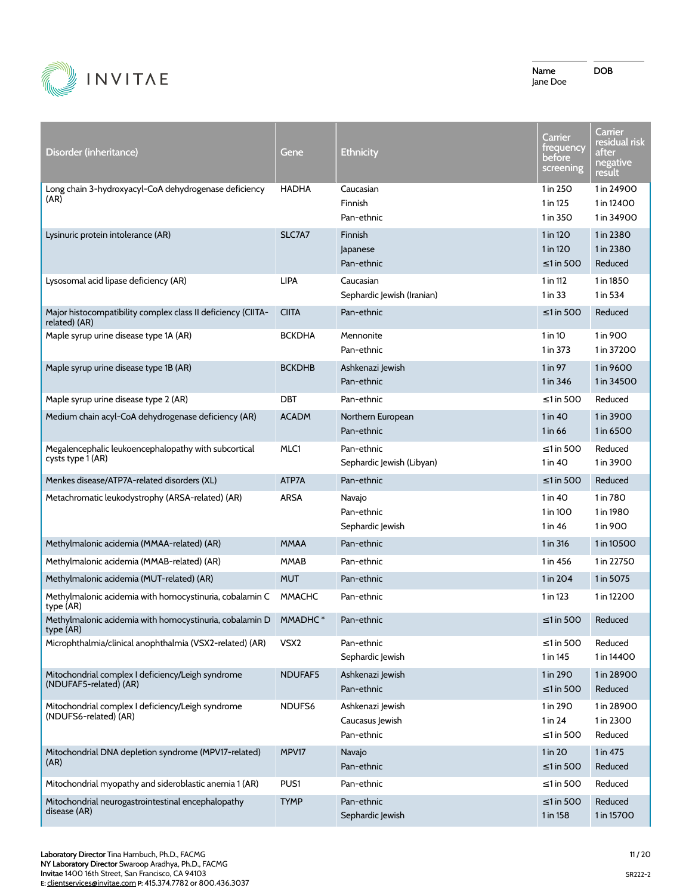

| Disorder (inheritance)                                                        | Gene             | <b>Ethnicity</b>                                  | Carrier<br>trequency<br>before<br>screening | Carrier<br>residual risk<br>after<br>negative<br>result |
|-------------------------------------------------------------------------------|------------------|---------------------------------------------------|---------------------------------------------|---------------------------------------------------------|
| Long chain 3-hydroxyacyl-CoA dehydrogenase deficiency<br>(AR)                 | <b>HADHA</b>     | Caucasian<br>Finnish<br>Pan-ethnic                | 1 in 250<br>1 in 125<br>1 in 350            | 1 in 24900<br>1 in 12400<br>1 in 34900                  |
| Lysinuric protein intolerance (AR)                                            | SLC7A7           | Finnish<br>Japanese<br>Pan-ethnic                 | 1 in 120<br>1 in 120<br>$\leq$ 1 in 500     | 1 in 2380<br>1 in 2380<br>Reduced                       |
| Lysosomal acid lipase deficiency (AR)                                         | <b>LIPA</b>      | Caucasian<br>Sephardic Jewish (Iranian)           | 1 in 112<br>1 in 33                         | 1 in 1850<br>1 in 534                                   |
| Major histocompatibility complex class II deficiency (CIITA-<br>related) (AR) | <b>CIITA</b>     | Pan-ethnic                                        | $\leq$ 1 in 500                             | Reduced                                                 |
| Maple syrup urine disease type 1A (AR)                                        | <b>BCKDHA</b>    | Mennonite<br>Pan-ethnic                           | $1$ in 10<br>1 in 373                       | 1 in 900<br>1 in 37200                                  |
| Maple syrup urine disease type 1B (AR)                                        | <b>BCKDHB</b>    | Ashkenazi Jewish<br>Pan-ethnic                    | $1$ in 97<br>1 in 346                       | 1 in 9600<br>1 in 34500                                 |
| Maple syrup urine disease type 2 (AR)                                         | <b>DBT</b>       | Pan-ethnic                                        | $\leq$ 1 in 500                             | Reduced                                                 |
| Medium chain acyl-CoA dehydrogenase deficiency (AR)                           | <b>ACADM</b>     | Northern European<br>Pan-ethnic                   | 1 in 40<br>1 in 66                          | 1 in 3900<br>1 in 6500                                  |
| Megalencephalic leukoencephalopathy with subcortical<br>cysts type 1 (AR)     | MLC1             | Pan-ethnic<br>Sephardic Jewish (Libyan)           | $\leq$ 1 in 500<br>1 in 40                  | Reduced<br>1 in 3900                                    |
| Menkes disease/ATP7A-related disorders (XL)                                   | ATP7A            | Pan-ethnic                                        | $\leq$ 1 in 500                             | Reduced                                                 |
| Metachromatic leukodystrophy (ARSA-related) (AR)                              | <b>ARSA</b>      | Navajo<br>Pan-ethnic<br>Sephardic Jewish          | 1 in 40<br>1 in 100<br>1 in 46              | 1 in 780<br>1 in 1980<br>1 in 900                       |
| Methylmalonic acidemia (MMAA-related) (AR)                                    | <b>MMAA</b>      | Pan-ethnic                                        | 1 in 316                                    | 1 in 10500                                              |
| Methylmalonic acidemia (MMAB-related) (AR)                                    | <b>MMAB</b>      | Pan-ethnic                                        | 1 in 456                                    | 1 in 22750                                              |
| Methylmalonic acidemia (MUT-related) (AR)                                     | <b>MUT</b>       | Pan-ethnic                                        | 1 in 204                                    | 1 in 5075                                               |
| Methylmalonic acidemia with homocystinuria, cobalamin C<br>type (AR)          | <b>MMACHC</b>    | Pan-ethnic                                        | 1 in 123                                    | 1 in 12200                                              |
| Methylmalonic acidemia with homocystinuria, cobalamin D<br>type (AR)          | MMADHC*          | Pan-ethnic                                        | $\leq$ 1 in 500                             | Reduced                                                 |
| Microphthalmia/clinical anophthalmia (VSX2-related) (AR)                      | VSX <sub>2</sub> | Pan-ethnic<br>Sephardic Jewish                    | $\leq$ 1 in 500<br>1 in 145                 | Reduced<br>1 in 14400                                   |
| Mitochondrial complex I deficiency/Leigh syndrome<br>(NDUFAF5-related) (AR)   | NDUFAF5          | Ashkenazi Jewish<br>Pan-ethnic                    | 1 in 290<br>$\leq$ 1 in 500                 | 1 in 28900<br>Reduced                                   |
| Mitochondrial complex I deficiency/Leigh syndrome<br>(NDUFS6-related) (AR)    | NDUFS6           | Ashkenazi Jewish<br>Caucasus Jewish<br>Pan-ethnic | 1 in 290<br>1 in 24<br>$\leq$ 1 in 500      | 1 in 28900<br>1 in 2300<br>Reduced                      |
| Mitochondrial DNA depletion syndrome (MPV17-related)<br>(AR)                  | MPV17            | Navajo<br>Pan-ethnic                              | 1 in 20<br>$\leq$ 1 in 500                  | 1 in 475<br>Reduced                                     |
| Mitochondrial myopathy and sideroblastic anemia 1 (AR)                        | PUS1             | Pan-ethnic                                        | ≤1 in 500                                   | Reduced                                                 |
| Mitochondrial neurogastrointestinal encephalopathy<br>disease (AR)            | <b>TYMP</b>      | Pan-ethnic<br>Sephardic Jewish                    | ≤1 in 500<br>1 in 158                       | Reduced<br>1 in 15700                                   |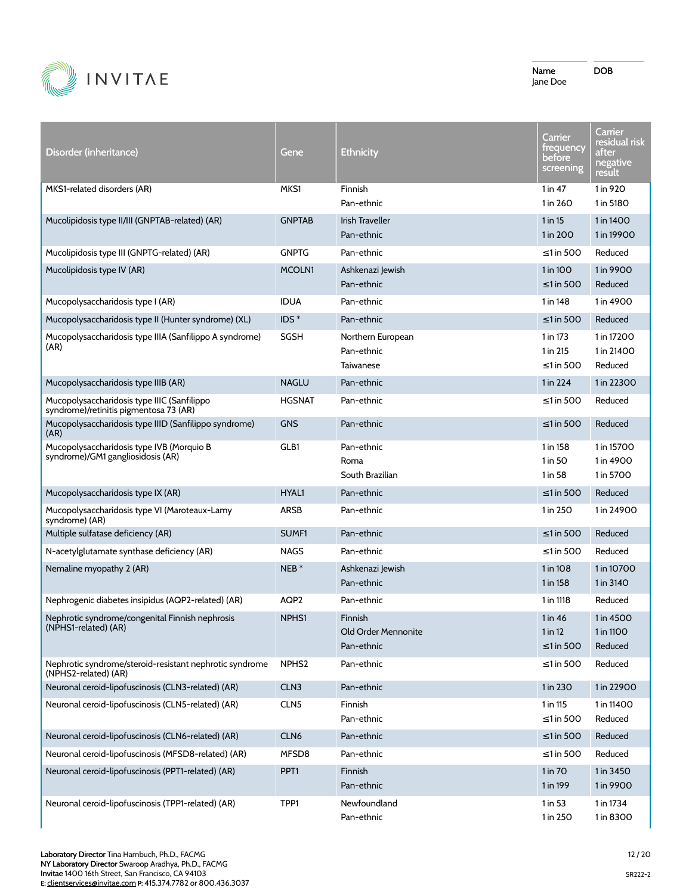

| Disorder (inheritance)                                                                | Gene              | <b>Ethnicity</b>                             | <b>Carrier</b><br>trequency<br>before<br>screening | Carrier<br>residual risk<br>after<br>negative<br><u>result</u> |
|---------------------------------------------------------------------------------------|-------------------|----------------------------------------------|----------------------------------------------------|----------------------------------------------------------------|
| MKS1-related disorders (AR)                                                           | MKS1              | Finnish<br>Pan-ethnic                        | $1$ in $47$<br>1 in 260                            | 1 in 920<br>1 in 5180                                          |
| Mucolipidosis type II/III (GNPTAB-related) (AR)                                       | <b>GNPTAB</b>     | <b>Irish Traveller</b><br>Pan-ethnic         | 1 in 15<br>1 in 200                                | 1 in 1400<br>1 in 19900                                        |
| Mucolipidosis type III (GNPTG-related) (AR)                                           | <b>GNPTG</b>      | Pan-ethnic                                   | ≤1 in 500                                          | Reduced                                                        |
| Mucolipidosis type IV (AR)                                                            | MCOLN1            | Ashkenazi Jewish<br>Pan-ethnic               | 1 in 100<br>$\leq$ 1 in 500                        | 1 in 9900<br>Reduced                                           |
| Mucopolysaccharidosis type I (AR)                                                     | <b>IDUA</b>       | Pan-ethnic                                   | 1 in 148                                           | 1 in 4900                                                      |
| Mucopolysaccharidosis type II (Hunter syndrome) (XL)                                  | $IDS^*$           | Pan-ethnic                                   | $\leq$ 1 in 500                                    | Reduced                                                        |
| Mucopolysaccharidosis type IIIA (Sanfilippo A syndrome)<br>(AR)                       | SGSH              | Northern European<br>Pan-ethnic<br>Taiwanese | 1 in 173<br>1 in 215<br>$\leq$ 1 in 500            | 1 in 17200<br>1 in 21400<br>Reduced                            |
| Mucopolysaccharidosis type IIIB (AR)                                                  | <b>NAGLU</b>      | Pan-ethnic                                   | 1 in 224                                           | 1 in 22300                                                     |
| Mucopolysaccharidosis type IIIC (Sanfilippo<br>syndrome)/retinitis pigmentosa 73 (AR) | <b>HGSNAT</b>     | Pan-ethnic                                   | $\leq$ 1 in 500                                    | Reduced                                                        |
| Mucopolysaccharidosis type IIID (Sanfilippo syndrome)<br>(AR)                         | <b>GNS</b>        | Pan-ethnic                                   | $\leq$ 1 in 500                                    | Reduced                                                        |
| Mucopolysaccharidosis type IVB (Morquio B<br>syndrome)/GM1 gangliosidosis (AR)        | GLB1              | Pan-ethnic<br>Roma<br>South Brazilian        | 1 in 158<br>1 in 50<br>1 in 58                     | 1 in 15700<br>1 in 4900<br>1 in 5700                           |
| Mucopolysaccharidosis type IX (AR)                                                    | <b>HYAL1</b>      | Pan-ethnic                                   | $\leq$ 1 in 500                                    | Reduced                                                        |
| Mucopolysaccharidosis type VI (Maroteaux-Lamy<br>syndrome) (AR)                       | <b>ARSB</b>       | Pan-ethnic                                   | 1 in 250                                           | 1 in 24900                                                     |
| Multiple sulfatase deficiency (AR)                                                    | SUMF <sub>1</sub> | Pan-ethnic                                   | $\leq$ 1 in 500                                    | Reduced                                                        |
| N-acetylglutamate synthase deficiency (AR)                                            | <b>NAGS</b>       | Pan-ethnic                                   | $\leq$ 1 in 500                                    | Reduced                                                        |
| Nemaline myopathy 2 (AR)                                                              | $NEB*$            | Ashkenazi Jewish<br>Pan-ethnic               | 1 in 108<br>1 in 158                               | 1 in 10700<br>1 in 3140                                        |
| Nephrogenic diabetes insipidus (AQP2-related) (AR)                                    | AQP2              | Pan-ethnic                                   | 1 in 1118                                          | Reduced                                                        |
| Nephrotic syndrome/congenital Finnish nephrosis<br>(NPHS1-related) (AR)               | NPHS1             | Finnish<br>Old Order Mennonite<br>Pan-ethnic | 1 in 46<br>1 in 12<br>≤1 in 500                    | 1 in 4500<br>1 in 1100<br>Reduced                              |
| Nephrotic syndrome/steroid-resistant nephrotic syndrome<br>(NPHS2-related) (AR)       | NPHS <sub>2</sub> | Pan-ethnic                                   | $\leq$ 1 in 500                                    | Reduced                                                        |
| Neuronal ceroid-lipofuscinosis (CLN3-related) (AR)                                    | CLN <sub>3</sub>  | Pan-ethnic                                   | 1 in 230                                           | 1 in 22900                                                     |
| Neuronal ceroid-lipofuscinosis (CLN5-related) (AR)                                    | CLN <sub>5</sub>  | Finnish<br>Pan-ethnic                        | 1 in 115<br>$\leq$ 1 in 500                        | 1 in 11400<br>Reduced                                          |
| Neuronal ceroid-lipofuscinosis (CLN6-related) (AR)                                    | CLN6              | Pan-ethnic                                   | ≤1 in 500                                          | Reduced                                                        |
| Neuronal ceroid-lipofuscinosis (MFSD8-related) (AR)                                   | MFSD8             | Pan-ethnic                                   | $\leq$ 1 in 500                                    | Reduced                                                        |
| Neuronal ceroid-lipofuscinosis (PPT1-related) (AR)                                    | PPT <sub>1</sub>  | Finnish<br>Pan-ethnic                        | 1 in 70<br>1 in 199                                | 1 in 3450<br>1 in 9900                                         |
| Neuronal ceroid-lipofuscinosis (TPP1-related) (AR)                                    | TPP1              | Newfoundland<br>Pan-ethnic                   | 1 in 53<br>1 in 250                                | 1 in 1734<br>1 in 8300                                         |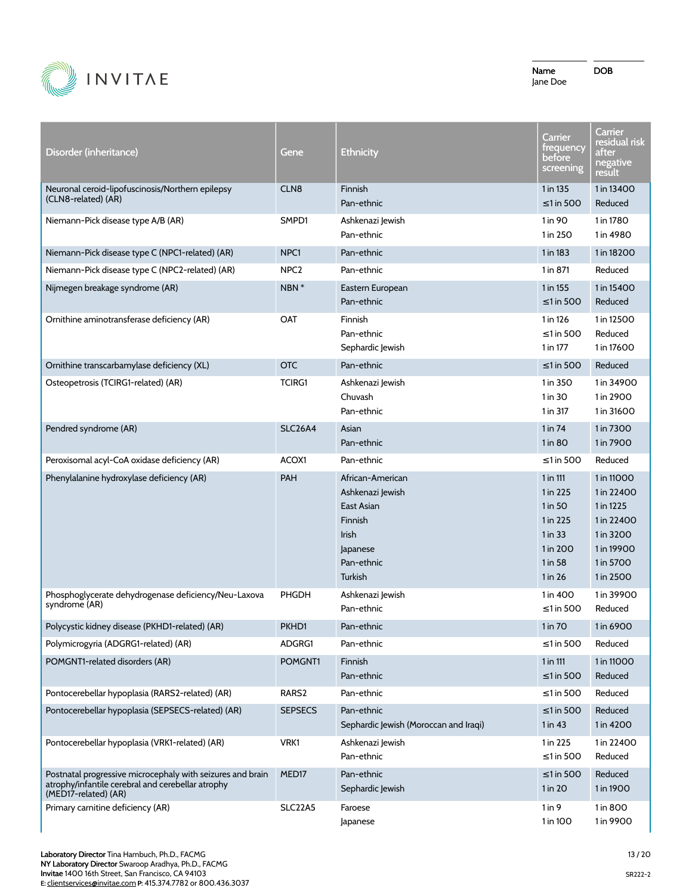

DOB

Disorder (inheritance) Gene Ethnicity **Carrier** frequency before screening **Carrier** residual risk after negative result Neuronal ceroid-lipofuscinosis/Northern epilepsy (CLN8-related) (AR) CLN8 Finnish Pan-ethnic 1 in 135 ≤1 in 500 1 in 13400 Reduced Niemann-Pick disease type A/B (AR) SMPD1 Ashkenazi Jewish Pan-ethnic 1 in 90 1 in 250 1 in 1780 1 in 4980 Niemann-Pick disease type C (NPC1-related) (AR) NPC1 Pan-ethnic 1 in 18200 1 in 183 1 in 18200 Niemann-Pick disease type C (NPC2-related) (AR) NPC2 Pan-ethnic Network 1 in 871 Reduced Nijmegen breakage syndrome (AR) NBN \* Eastern European Pan-ethnic 1 in 155 ≤1 in 500 1 in 15400 Reduced Ornithine aminotransferase deficiency (AR) OAT Finnish Pan-ethnic Sephardic Jewish 1 in 126 ≤1 in 500 1 in 177 1 in 12500 Reduced 1 in 17600 Ornithine transcarbamylase deficiency (XL) OTC Pan-ethnic ≤1 in 500 Reduced Osteopetrosis (TCIRG1-related) (AR) TCIRG1 Ashkenazi Jewish Chuvash Pan-ethnic 1 in 350 1 in 30 1 in 317 1 in 34900 1 in 2900 1 in 31600 Pendred syndrome (AR) SLC26A4 Asian Pan-ethnic 1 in 74 1 in 80 1 in 7300 1 in 7900 Peroxisomal acyl-CoA oxidase deficiency (AR) ACOX1 Pan-ethnic Computer of the state of the state of Reduced Phenylalanine hydroxylase deficiency (AR) BAH African-American Ashkenazi Jewish East Asian Finnish Irish Japanese Pan-ethnic **Turkish** 1 in 111 1 in 225 1 in 50 1 in 225 1 in 33 1 in 200 1 in 58 1 in 26 1 in 11000 1 in 22400 1 in 1225 1 in 22400 1 in 3200 1 in 19900 1 in 5700 1 in 2500 Phosphoglycerate dehydrogenase deficiency/Neu-Laxova syndrome (AR) PHGDH Ashkenazi Jewish Pan-ethnic 1 in 400 ≤1 in 500 1 in 39900 Reduced Polycystic kidney disease (PKHD1-related) (AR) PKHD1 Pan-ethnic 1 in 10 1 in 70 1 in 6900 Polymicrogyria (ADGRG1-related) (AR) ADGRG1 Pan-ethnic ≤1 in 500 Reduced POMGNT1-related disorders (AR) POMGNT1 Finnish Pan-ethnic 1 in 111 ≤1 in 500 1 in 11000 Reduced Pontocerebellar hypoplasia (RARS2-related) (AR) RARS2 Pan-ethnic ≤1 in 500 Reduced Pontocerebellar hypoplasia (SEPSECS-related) (AR) SEPSECS Pan-ethnic Sephardic Jewish (Moroccan and Iraqi)  $< 1$  in 500 1 in 43 Reduced 1 in 4200 Pontocerebellar hypoplasia (VRK1-related) (AR) VRK1 Ashkenazi Jewish Pan-ethnic 1 in 225 ≤1 in 500 1 in 22400 Reduced Postnatal progressive microcephaly with seizures and brain atrophy/infantile cerebral and cerebellar atrophy (MED17-related) (AR) MED17 Pan-ethnic Sephardic Jewish ≤1 in 500 1 in 20 Reduced 1 in 1900 Primary carnitine deficiency (AR) SLC22A5 Faroese Japanese 1 in 9 1 in 100 1 in 800 1 in 9900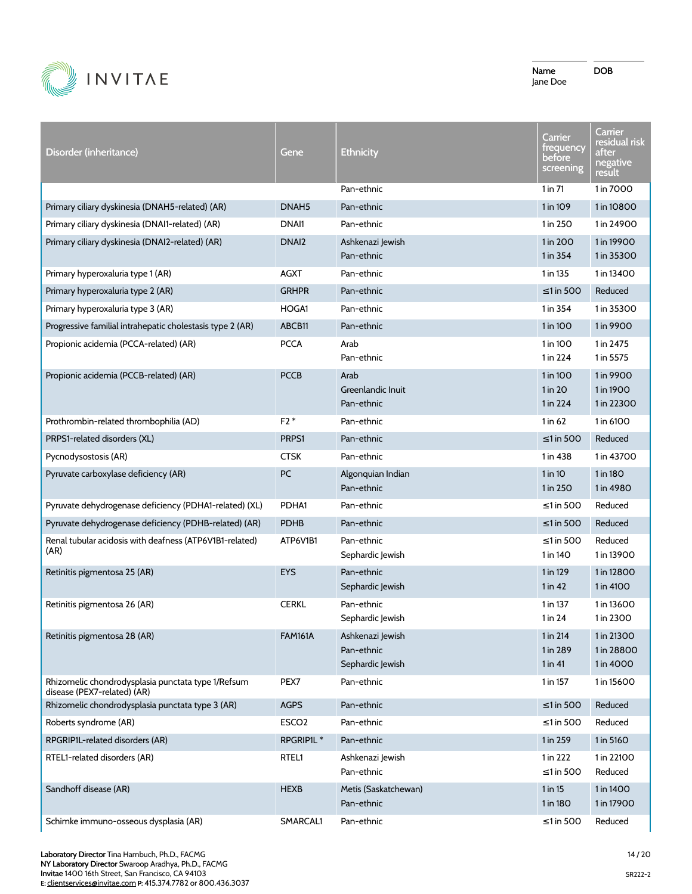

| Disorder (inheritance)                                                            | Gene              | <b>Ethnicity</b>                                   | Carrier<br>trequency<br>before<br>screening | Carrier<br>residual risk<br>after<br>negative<br><u>result </u> |
|-----------------------------------------------------------------------------------|-------------------|----------------------------------------------------|---------------------------------------------|-----------------------------------------------------------------|
|                                                                                   |                   | Pan-ethnic                                         | $1$ in $71$                                 | 1 in 7000                                                       |
| Primary ciliary dyskinesia (DNAH5-related) (AR)                                   | DNAH <sub>5</sub> | Pan-ethnic                                         | 1 in 109                                    | 1 in 10800                                                      |
| Primary ciliary dyskinesia (DNAI1-related) (AR)                                   | DNAI1             | Pan-ethnic                                         | 1 in 250                                    | 1 in 24900                                                      |
| Primary ciliary dyskinesia (DNAI2-related) (AR)                                   | DNAI <sub>2</sub> | Ashkenazi Jewish<br>Pan-ethnic                     | 1 in 200<br>1 in 354                        | 1 in 19900<br>1 in 35300                                        |
| Primary hyperoxaluria type 1 (AR)                                                 | <b>AGXT</b>       | Pan-ethnic                                         | 1 in 135                                    | 1 in 13400                                                      |
| Primary hyperoxaluria type 2 (AR)                                                 | <b>GRHPR</b>      | Pan-ethnic                                         | $\leq$ 1 in 500                             | Reduced                                                         |
| Primary hyperoxaluria type 3 (AR)                                                 | HOGA1             | Pan-ethnic                                         | 1 in 354                                    | 1 in 35300                                                      |
| Progressive familial intrahepatic cholestasis type 2 (AR)                         | ABCB11            | Pan-ethnic                                         | 1 in 100                                    | 1 in 9900                                                       |
| Propionic acidemia (PCCA-related) (AR)                                            | <b>PCCA</b>       | Arab<br>Pan-ethnic                                 | 1 in 100<br>1 in 224                        | 1 in 2475<br>1 in 5575                                          |
| Propionic acidemia (PCCB-related) (AR)                                            | <b>PCCB</b>       | Arab<br>Greenlandic Inuit<br>Pan-ethnic            | 1 in 100<br>1 in 20<br>1 in 224             | 1 in 9900<br>1 in 1900<br>1 in 22300                            |
| Prothrombin-related thrombophilia (AD)                                            | $F2*$             | Pan-ethnic                                         | $1$ in 62                                   | 1 in 6100                                                       |
| PRPS1-related disorders (XL)                                                      | PRPS1             | Pan-ethnic                                         | $\leq$ 1 in 500                             | Reduced                                                         |
| Pycnodysostosis (AR)                                                              | <b>CTSK</b>       | Pan-ethnic                                         | 1 in 438                                    | 1 in 43700                                                      |
| Pyruvate carboxylase deficiency (AR)                                              | PC                | Algonquian Indian<br>Pan-ethnic                    | $1$ in 10<br>1 in 250                       | 1 in 180<br>1 in 4980                                           |
| Pyruvate dehydrogenase deficiency (PDHA1-related) (XL)                            | PDHA1             | Pan-ethnic                                         | $\leq$ 1 in 500                             | Reduced                                                         |
| Pyruvate dehydrogenase deficiency (PDHB-related) (AR)                             | <b>PDHB</b>       | Pan-ethnic                                         | $\leq$ 1 in 500                             | Reduced                                                         |
| Renal tubular acidosis with deafness (ATP6V1B1-related)<br>(AR)                   | ATP6V1B1          | Pan-ethnic<br>Sephardic Jewish                     | $\leq$ 1 in 500<br>1 in 140                 | Reduced<br>1 in 13900                                           |
| Retinitis pigmentosa 25 (AR)                                                      | <b>EYS</b>        | Pan-ethnic<br>Sephardic Jewish                     | 1 in 129<br>$1$ in 42                       | 1 in 12800<br>1 in 4100                                         |
| Retinitis pigmentosa 26 (AR)                                                      | <b>CERKL</b>      | Pan-ethnic<br>Sephardic Jewish                     | 1 in 137<br>$1$ in 24                       | 1 in 13600<br>1 in 2300                                         |
| Retinitis pigmentosa 28 (AR)                                                      | <b>FAM161A</b>    | Ashkenazi Jewish<br>Pan-ethnic<br>Sephardic Jewish | 1 in 214<br>1 in 289<br>$1$ in 41           | 1 in 21300<br>1 in 28800<br>1 in 4000                           |
| Rhizomelic chondrodysplasia punctata type 1/Refsum<br>disease (PEX7-related) (AR) | PEX7              | Pan-ethnic                                         | 1 in 157                                    | 1 in 15600                                                      |
| Rhizomelic chondrodysplasia punctata type 3 (AR)                                  | <b>AGPS</b>       | Pan-ethnic                                         | ≤1 in 500                                   | Reduced                                                         |
| Roberts syndrome (AR)                                                             | ESCO <sub>2</sub> | Pan-ethnic                                         | $\leq$ 1 in 500                             | Reduced                                                         |
| RPGRIP1L-related disorders (AR)                                                   | RPGRIP1L*         | Pan-ethnic                                         | 1 in 259                                    | 1 in 5160                                                       |
| RTEL1-related disorders (AR)                                                      | RTEL1             | Ashkenazi Jewish<br>Pan-ethnic                     | 1 in 222<br>$\leq$ 1 in 500                 | 1 in 22100<br>Reduced                                           |
| Sandhoff disease (AR)                                                             | <b>HEXB</b>       | Metis (Saskatchewan)<br>Pan-ethnic                 | 1 in 15<br>1 in 180                         | 1 in 1400<br>1 in 17900                                         |
| Schimke immuno-osseous dysplasia (AR)                                             | SMARCAL1          | Pan-ethnic                                         | ≤1 in 500                                   | Reduced                                                         |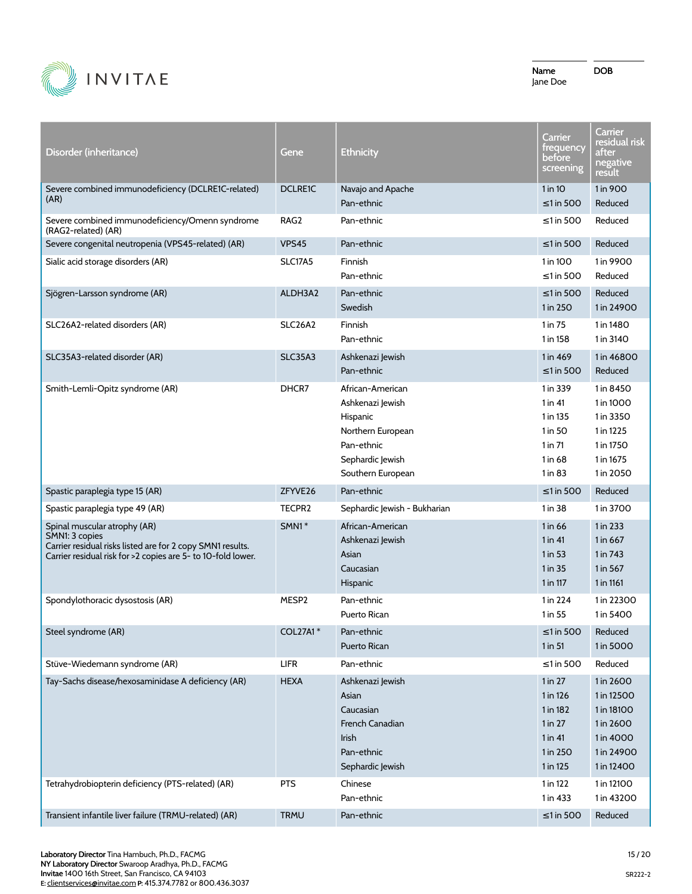

| Disorder (inheritance)                                                                                                                                                       | Gene           | <b>Ethnicity</b>                                                                                                             | Carrier<br>trequency<br>before<br>screening                                         | Carrier<br>residual r <u>isk</u><br>after<br>negative<br>result                             |
|------------------------------------------------------------------------------------------------------------------------------------------------------------------------------|----------------|------------------------------------------------------------------------------------------------------------------------------|-------------------------------------------------------------------------------------|---------------------------------------------------------------------------------------------|
| Severe combined immunodeficiency (DCLRE1C-related)<br>(AR)                                                                                                                   | <b>DCLRE1C</b> | Navajo and Apache<br>Pan-ethnic                                                                                              | 1 in 10<br>$\leq$ 1 in 500                                                          | 1 in 900<br>Reduced                                                                         |
| Severe combined immunodeficiency/Omenn syndrome<br>(RAG2-related) (AR)                                                                                                       | RAG2           | Pan-ethnic                                                                                                                   | $\leq$ 1 in 500                                                                     | Reduced                                                                                     |
| Severe congenital neutropenia (VPS45-related) (AR)                                                                                                                           | VPS45          | Pan-ethnic                                                                                                                   | $\leq$ 1 in 500                                                                     | Reduced                                                                                     |
| Sialic acid storage disorders (AR)                                                                                                                                           | <b>SLC17A5</b> | Finnish<br>Pan-ethnic                                                                                                        | 1 in 100<br>$\leq$ 1 in 500                                                         | 1 in 9900<br>Reduced                                                                        |
| Sjögren-Larsson syndrome (AR)                                                                                                                                                | ALDH3A2        | Pan-ethnic<br>Swedish                                                                                                        | $\leq$ 1 in 500<br>1 in 250                                                         | Reduced<br>1 in 24900                                                                       |
| SLC26A2-related disorders (AR)                                                                                                                                               | <b>SLC26A2</b> | Finnish<br>Pan-ethnic                                                                                                        | $1$ in $75$<br>1 in 158                                                             | 1 in 1480<br>1 in 3140                                                                      |
| SLC35A3-related disorder (AR)                                                                                                                                                | SLC35A3        | Ashkenazi Jewish<br>Pan-ethnic                                                                                               | 1 in 469<br>$\leq$ 1 in 500                                                         | 1 in 46800<br>Reduced                                                                       |
| Smith-Lemli-Opitz syndrome (AR)                                                                                                                                              | DHCR7          | African-American<br>Ashkenazi Jewish<br>Hispanic<br>Northern European<br>Pan-ethnic<br>Sephardic Jewish<br>Southern European | 1 in 339<br>$1$ in $41$<br>1 in 135<br>1 in 50<br>$1$ in $71$<br>1 in 68<br>1 in 83 | 1 in 8450<br>1 in 1000<br>1 in 3350<br>1 in 1225<br>1 in 1750<br>1 in 1675<br>1 in 2050     |
|                                                                                                                                                                              |                |                                                                                                                              |                                                                                     |                                                                                             |
| Spastic paraplegia type 15 (AR)                                                                                                                                              | ZFYVE26        | Pan-ethnic                                                                                                                   | $\leq$ 1 in 500                                                                     | Reduced                                                                                     |
| Spastic paraplegia type 49 (AR)                                                                                                                                              | TECPR2         | Sephardic Jewish - Bukharian                                                                                                 | 1 in 38                                                                             | 1 in 3700                                                                                   |
| Spinal muscular atrophy (AR)<br>SMN1: 3 copies<br>Carrier residual risks listed are for 2 copy SMN1 results.<br>Carrier residual risk for >2 copies are 5- to 10-fold lower. | $SMN1*$        | African-American<br>Ashkenazi Jewish<br>Asian<br>Caucasian<br>Hispanic                                                       | 1 in 66<br>$1$ in 41<br>1 in 53<br>1 in 35<br>1 in 117                              | 1 in 233<br>1 in 667<br>1 in 743<br>1 in 567<br>1 in 1161                                   |
| Spondylothoracic dysostosis (AR)                                                                                                                                             | MESP2          | Pan-ethnic<br>Puerto Rican                                                                                                   | 1 in 224<br>1 in 55                                                                 | 1 in 22300<br>1 in 5400                                                                     |
| Steel syndrome (AR)                                                                                                                                                          | COL27A1*       | Pan-ethnic<br>Puerto Rican                                                                                                   | $\leq$ 1 in 500 Reduced<br>1 in 51                                                  | 1 in 5000                                                                                   |
| Stüve-Wiedemann syndrome (AR)                                                                                                                                                | LIFR           | Pan-ethnic                                                                                                                   | $\leq$ 1 in 500                                                                     | Reduced                                                                                     |
| Tay-Sachs disease/hexosaminidase A deficiency (AR)                                                                                                                           | <b>HEXA</b>    | Ashkenazi Jewish<br>Asian<br>Caucasian<br>French Canadian<br>Irish<br>Pan-ethnic<br>Sephardic Jewish                         | 1 in 27<br>1 in 126<br>1 in 182<br>1 in 27<br>1 in 41<br>1 in 250<br>1 in 125       | 1 in 2600<br>1 in 12500<br>1 in 18100<br>1 in 2600<br>1 in 4000<br>1 in 24900<br>1 in 12400 |
| Tetrahydrobiopterin deficiency (PTS-related) (AR)                                                                                                                            | <b>PTS</b>     | Chinese<br>Pan-ethnic                                                                                                        | 1 in 122<br>1 in 433                                                                | 1 in 12100<br>1 in 43200                                                                    |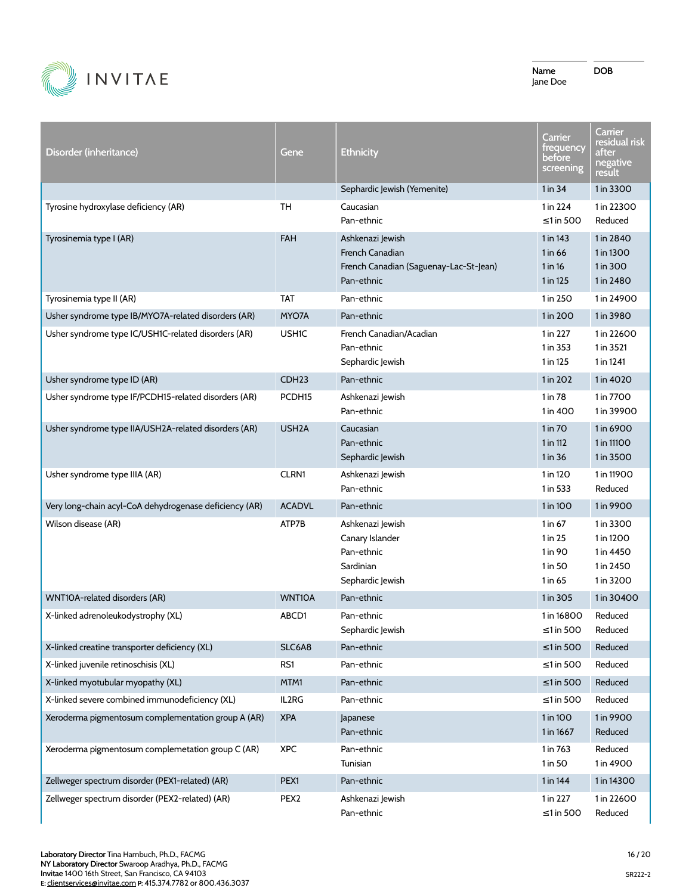

| Disorder (inheritance)                                 | Gene               | <b>Ethnicity</b>                                                                            | Carrier<br>trequency<br>before<br>screening         | Carrier<br>residual risk<br>after<br>negative<br>result       |
|--------------------------------------------------------|--------------------|---------------------------------------------------------------------------------------------|-----------------------------------------------------|---------------------------------------------------------------|
|                                                        |                    | Sephardic Jewish (Yemenite)                                                                 | 1 in 34                                             | 1 in 3300                                                     |
| Tyrosine hydroxylase deficiency (AR)                   | TH                 | Caucasian<br>Pan-ethnic                                                                     | 1 in 224<br>$\leq$ 1 in 500                         | 1 in 22300<br>Reduced                                         |
| Tyrosinemia type I (AR)                                | FAH                | Ashkenazi Jewish<br>French Canadian<br>French Canadian (Saguenay-Lac-St-Jean)<br>Pan-ethnic | 1 in 143<br>1 in 66<br>1 in 16<br>1 in 125          | 1 in 2840<br>1 in 1300<br>1 in 300<br>1 in 2480               |
| Tyrosinemia type II (AR)                               | <b>TAT</b>         | Pan-ethnic                                                                                  | 1 in 250                                            | 1 in 24900                                                    |
| Usher syndrome type IB/MYO7A-related disorders (AR)    | MYO7A              | Pan-ethnic                                                                                  | 1 in 200                                            | 1 in 3980                                                     |
| Usher syndrome type IC/USH1C-related disorders (AR)    | <b>USH1C</b>       | French Canadian/Acadian<br>Pan-ethnic<br>Sephardic Jewish                                   | 1 in 227<br>1 in 353<br>1 in 125                    | 1 in 22600<br>1 in 3521<br>1 in 1241                          |
| Usher syndrome type ID (AR)                            | CDH <sub>23</sub>  | Pan-ethnic                                                                                  | 1 in 202                                            | 1 in 4020                                                     |
| Usher syndrome type IF/PCDH15-related disorders (AR)   | PCDH <sub>15</sub> | Ashkenazi Jewish<br>Pan-ethnic                                                              | 1 in 78<br>1 in 400                                 | 1 in 7700<br>1 in 39900                                       |
| Usher syndrome type IIA/USH2A-related disorders (AR)   | USH <sub>2</sub> A | Caucasian<br>Pan-ethnic<br>Sephardic Jewish                                                 | 1 in 70<br>1 in 112<br>1 in 36                      | 1 in 6900<br>1 in 11100<br>1 in 3500                          |
| Usher syndrome type IIIA (AR)                          | <b>CLRN1</b>       | Ashkenazi Jewish<br>Pan-ethnic                                                              | 1 in 120<br>1 in 533                                | 1 in 11900<br>Reduced                                         |
| Very long-chain acyl-CoA dehydrogenase deficiency (AR) | <b>ACADVL</b>      | Pan-ethnic                                                                                  | 1 in 100                                            | 1 in 9900                                                     |
| Wilson disease (AR)                                    | ATP7B              | Ashkenazi Jewish<br>Canary Islander<br>Pan-ethnic<br>Sardinian<br>Sephardic Jewish          | 1 in 67<br>1 in 25<br>1 in 90<br>1 in 50<br>1 in 65 | 1 in 3300<br>1 in 1200<br>1 in 4450<br>1 in 2450<br>1 in 3200 |
| WNT10A-related disorders (AR)                          | WNT10A             | Pan-ethnic                                                                                  | 1 in 305                                            | 1 in 30400                                                    |
| X-linked adrenoleukodystrophy (XL)                     | ABCD1              | Pan-ethnic<br>Sephardic Jewish                                                              | 1 in 16800<br>≤1 in 500                             | Reduced<br>Reduced                                            |
| X-linked creatine transporter deficiency (XL)          | SLC6A8             | Pan-ethnic                                                                                  | $\leq 1$ in 500                                     | Reduced                                                       |
| X-linked juvenile retinoschisis (XL)                   | RS1                | Pan-ethnic                                                                                  | $\leq$ 1 in 500                                     | Reduced                                                       |
| X-linked myotubular myopathy (XL)                      | MTM1               | Pan-ethnic                                                                                  | $\leq$ 1 in 500                                     | Reduced                                                       |
| X-linked severe combined immunodeficiency (XL)         | IL2RG              | Pan-ethnic                                                                                  | $\leq$ 1 in 500                                     | Reduced                                                       |
| Xeroderma pigmentosum complementation group A (AR)     | <b>XPA</b>         | Japanese<br>Pan-ethnic                                                                      | 1 in 100<br>1 in 1667                               | 1 in 9900<br>Reduced                                          |
| Xeroderma pigmentosum complemetation group C (AR)      | <b>XPC</b>         | Pan-ethnic<br>Tunisian                                                                      | 1 in 763<br>1 in 50                                 | Reduced<br>1 in 4900                                          |
| Zellweger spectrum disorder (PEX1-related) (AR)        | PEX1               | Pan-ethnic                                                                                  | 1 in 144                                            | 1 in 14300                                                    |
| Zellweger spectrum disorder (PEX2-related) (AR)        | PEX <sub>2</sub>   | Ashkenazi Jewish<br>Pan-ethnic                                                              | 1 in 227<br>≤1 in 500                               | 1 in 22600<br>Reduced                                         |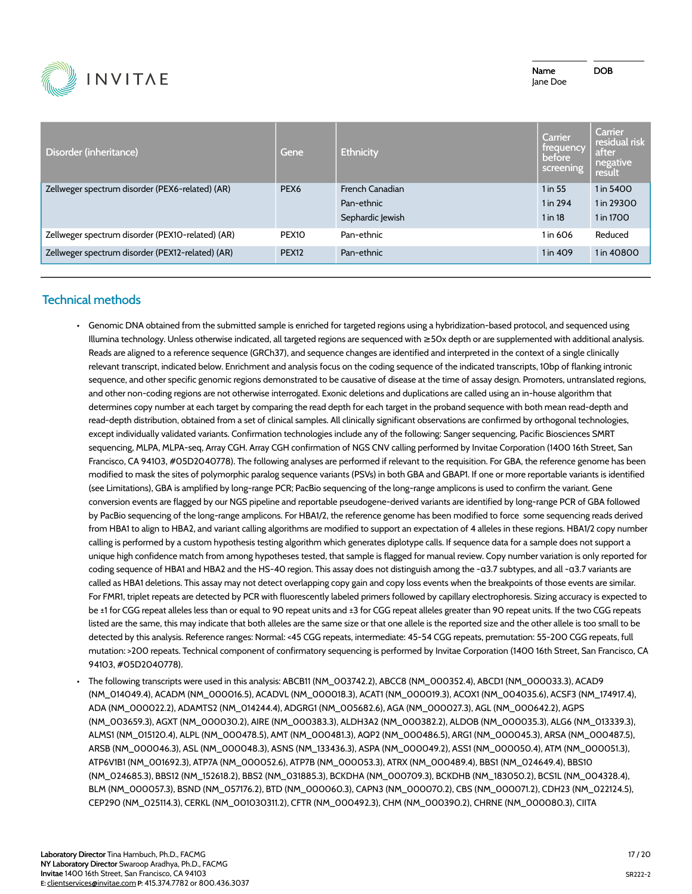

| Disorder (inheritance)                           | Gene              | <b>Ethnicity</b>                                  | Carrier<br>trequency<br>before<br>screening | <b>Carrier</b><br>residual risk<br>after<br>negative<br>result |
|--------------------------------------------------|-------------------|---------------------------------------------------|---------------------------------------------|----------------------------------------------------------------|
| Zellweger spectrum disorder (PEX6-related) (AR)  | PEX <sub>6</sub>  | French Canadian<br>Pan-ethnic<br>Sephardic Jewish | 1 in 55<br>1 in 294<br>$1$ in 18            | 1 in 5400<br>1 in 29300<br>1 in 1700                           |
| Zellweger spectrum disorder (PEX10-related) (AR) | PEX <sub>10</sub> | Pan-ethnic                                        | 1 in 606                                    | Reduced                                                        |
| Zellweger spectrum disorder (PEX12-related) (AR) | <b>PEX12</b>      | Pan-ethnic                                        | 1 in 409                                    | 1 in 40800                                                     |

# **Technical methods**

- Genomic DNA obtained from the submitted sample is enriched for targeted regions using a hybridization-based protocol, and sequenced using Illumina technology. Unless otherwise indicated, all targeted regions are sequenced with ≥50x depth or are supplemented with additional analysis. Reads are aligned to a reference sequence (GRCh37), and sequence changes are identified and interpreted in the context of a single clinically relevant transcript, indicated below. Enrichment and analysis focus on the coding sequence of the indicated transcripts, 10bp of flanking intronic sequence, and other specific genomic regions demonstrated to be causative of disease at the time of assay design. Promoters, untranslated regions, and other non-coding regions are not otherwise interrogated. Exonic deletions and duplications are called using an in-house algorithm that determines copy number at each target by comparing the read depth for each target in the proband sequence with both mean read-depth and read-depth distribution, obtained from a set of clinical samples. All clinically significant observations are confirmed by orthogonal technologies, except individually validated variants. Confirmation technologies include any of the following: Sanger sequencing, Pacific Biosciences SMRT sequencing, MLPA, MLPA-seq, Array CGH. Array CGH confirmation of NGS CNV calling performed by Invitae Corporation (1400 16th Street, San Francisco, CA 94103, #05D2040778). The following analyses are performed if relevant to the requisition. For GBA, the reference genome has been modified to mask the sites of polymorphic paralog sequence variants (PSVs) in both GBA and GBAP1. If one or more reportable variants is identified (see Limitations), GBA is amplified by long-range PCR; PacBio sequencing of the long-range amplicons is used to confirm the variant. Gene conversion events are flagged by our NGS pipeline and reportable pseudogene-derived variants are identified by long-range PCR of GBA followed by PacBio sequencing of the long-range amplicons. For HBA1/2, the reference genome has been modified to force some sequencing reads derived from HBA1 to align to HBA2, and variant calling algorithms are modified to support an expectation of 4 alleles in these regions. HBA1/2 copy number calling is performed by a custom hypothesis testing algorithm which generates diplotype calls. If sequence data for a sample does not support a unique high confidence match from among hypotheses tested, that sample is flagged for manual review. Copy number variation is only reported for coding sequence of HBA1 and HBA2 and the HS-40 region. This assay does not distinguish among the -ɑ3.7 subtypes, and all -ɑ3.7 variants are called as HBA1 deletions. This assay may not detect overlapping copy gain and copy loss events when the breakpoints of those events are similar. For FMR1, triplet repeats are detected by PCR with fluorescently labeled primers followed by capillary electrophoresis. Sizing accuracy is expected to be ±1 for CGG repeat alleles less than or equal to 90 repeat units and ±3 for CGG repeat alleles greater than 90 repeat units. If the two CGG repeats listed are the same, this may indicate that both alleles are the same size or that one allele is the reported size and the other allele is too small to be detected by this analysis. Reference ranges: Normal: <45 CGG repeats, intermediate: 45-54 CGG repeats, premutation: 55-200 CGG repeats, full mutation: >200 repeats. Technical component of confirmatory sequencing is performed by Invitae Corporation (1400 16th Street, San Francisco, CA 94103, #05D2040778).
- The following transcripts were used in this analysis: ABCB11 (NM\_003742.2), ABCC8 (NM\_000352.4), ABCD1 (NM\_000033.3), ACAD9 (NM\_014049.4), ACADM (NM\_000016.5), ACADVL (NM\_000018.3), ACAT1 (NM\_000019.3), ACOX1 (NM\_004035.6), ACSF3 (NM\_174917.4), ADA (NM\_000022.2), ADAMTS2 (NM\_014244.4), ADGRG1 (NM\_005682.6), AGA (NM\_000027.3), AGL (NM\_000642.2), AGPS (NM\_003659.3), AGXT (NM\_000030.2), AIRE (NM\_000383.3), ALDH3A2 (NM\_000382.2), ALDOB (NM\_000035.3), ALG6 (NM\_013339.3), ALMS1 (NM\_015120.4), ALPL (NM\_000478.5), AMT (NM\_000481.3), AQP2 (NM\_000486.5), ARG1 (NM\_000045.3), ARSA (NM\_000487.5), ARSB (NM\_000046.3), ASL (NM\_000048.3), ASNS (NM\_133436.3), ASPA (NM\_000049.2), ASS1 (NM\_000050.4), ATM (NM\_000051.3), ATP6V1B1 (NM\_001692.3), ATP7A (NM\_000052.6), ATP7B (NM\_000053.3), ATRX (NM\_000489.4), BBS1 (NM\_024649.4), BBS10 (NM\_024685.3), BBS12 (NM\_152618.2), BBS2 (NM\_031885.3), BCKDHA (NM\_000709.3), BCKDHB (NM\_183050.2), BCS1L (NM\_004328.4), BLM (NM\_000057.3), BSND (NM\_057176.2), BTD (NM\_000060.3), CAPN3 (NM\_000070.2), CBS (NM\_000071.2), CDH23 (NM\_022124.5), CEP290 (NM\_025114.3), CERKL (NM\_001030311.2), CFTR (NM\_000492.3), CHM (NM\_000390.2), CHRNE (NM\_000080.3), CIITA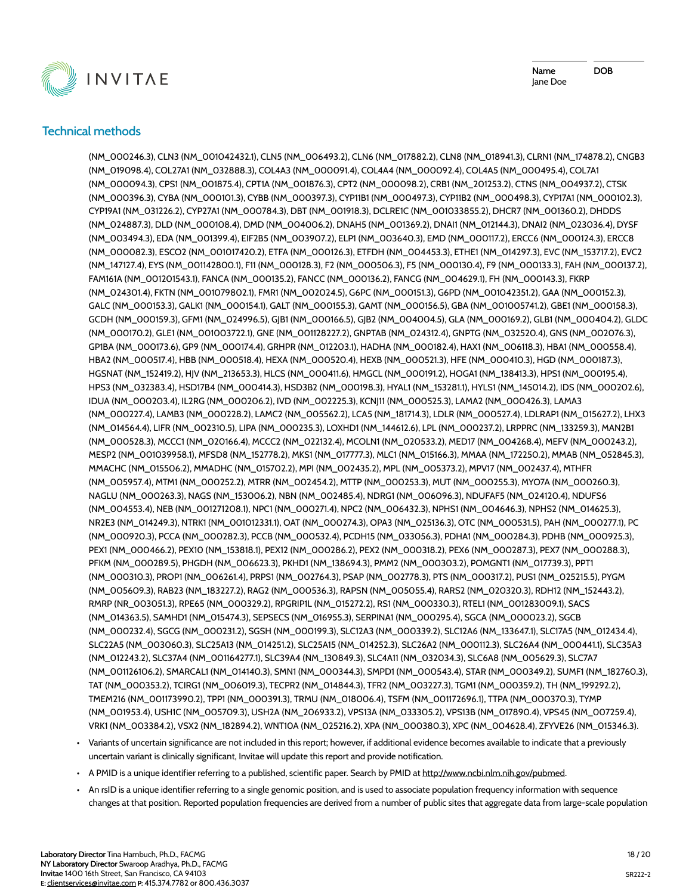

# **Technical methods**

(NM\_000246.3), CLN3 (NM\_001042432.1), CLN5 (NM\_006493.2), CLN6 (NM\_017882.2), CLN8 (NM\_018941.3), CLRN1 (NM\_174878.2), CNGB3 (NM\_019098.4), COL27A1 (NM\_032888.3), COL4A3 (NM\_000091.4), COL4A4 (NM\_000092.4), COL4A5 (NM\_000495.4), COL7A1 (NM\_000094.3), CPS1 (NM\_001875.4), CPT1A (NM\_001876.3), CPT2 (NM\_000098.2), CRB1 (NM\_201253.2), CTNS (NM\_004937.2), CTSK (NM\_000396.3), CYBA (NM\_000101.3), CYBB (NM\_000397.3), CYP11B1 (NM\_000497.3), CYP11B2 (NM\_000498.3), CYP17A1 (NM\_000102.3), CYP19A1 (NM\_031226.2), CYP27A1 (NM\_000784.3), DBT (NM\_001918.3), DCLRE1C (NM\_001033855.2), DHCR7 (NM\_001360.2), DHDDS (NM\_024887.3), DLD (NM\_000108.4), DMD (NM\_004006.2), DNAH5 (NM\_001369.2), DNAI1 (NM\_012144.3), DNAI2 (NM\_023036.4), DYSF (NM\_003494.3), EDA (NM\_001399.4), EIF2B5 (NM\_003907.2), ELP1 (NM\_003640.3), EMD (NM\_000117.2), ERCC6 (NM\_000124.3), ERCC8 (NM\_000082.3), ESCO2 (NM\_001017420.2), ETFA (NM\_000126.3), ETFDH (NM\_004453.3), ETHE1 (NM\_014297.3), EVC (NM\_153717.2), EVC2 (NM\_147127.4), EYS (NM\_001142800.1), F11 (NM\_000128.3), F2 (NM\_000506.3), F5 (NM\_000130.4), F9 (NM\_000133.3), FAH (NM\_000137.2), FAM161A (NM\_001201543.1), FANCA (NM\_000135.2), FANCC (NM\_000136.2), FANCG (NM\_004629.1), FH (NM\_000143.3), FKRP (NM\_024301.4), FKTN (NM\_001079802.1), FMR1 (NM\_002024.5), G6PC (NM\_000151.3), G6PD (NM\_001042351.2), GAA (NM\_000152.3), GALC (NM\_000153.3), GALK1 (NM\_000154.1), GALT (NM\_000155.3), GAMT (NM\_000156.5), GBA (NM\_001005741.2), GBE1 (NM\_000158.3), GCDH (NM\_000159.3), GFM1 (NM\_024996.5), GJB1 (NM\_000166.5), GJB2 (NM\_004004.5), GLA (NM\_000169.2), GLB1 (NM\_000404.2), GLDC (NM\_000170.2), GLE1 (NM\_001003722.1), GNE (NM\_001128227.2), GNPTAB (NM\_024312.4), GNPTG (NM\_032520.4), GNS (NM\_002076.3), GP1BA (NM\_000173.6), GP9 (NM\_000174.4), GRHPR (NM\_012203.1), HADHA (NM\_000182.4), HAX1 (NM\_006118.3), HBA1 (NM\_000558.4), HBA2 (NM\_000517.4), HBB (NM\_000518.4), HEXA (NM\_000520.4), HEXB (NM\_000521.3), HFE (NM\_000410.3), HGD (NM\_000187.3), HGSNAT (NM\_152419.2), HJV (NM\_213653.3), HLCS (NM\_000411.6), HMGCL (NM\_000191.2), HOGA1 (NM\_138413.3), HPS1 (NM\_000195.4), HPS3 (NM\_032383.4), HSD17B4 (NM\_000414.3), HSD3B2 (NM\_000198.3), HYAL1 (NM\_153281.1), HYLS1 (NM\_145014.2), IDS (NM\_000202.6), IDUA (NM\_000203.4), IL2RG (NM\_000206.2), IVD (NM\_002225.3), KCNJ11 (NM\_000525.3), LAMA2 (NM\_000426.3), LAMA3 (NM\_000227.4), LAMB3 (NM\_000228.2), LAMC2 (NM\_005562.2), LCA5 (NM\_181714.3), LDLR (NM\_000527.4), LDLRAP1 (NM\_015627.2), LHX3 (NM\_014564.4), LIFR (NM\_002310.5), LIPA (NM\_000235.3), LOXHD1 (NM\_144612.6), LPL (NM\_000237.2), LRPPRC (NM\_133259.3), MAN2B1 (NM\_000528.3), MCCC1 (NM\_020166.4), MCCC2 (NM\_022132.4), MCOLN1 (NM\_020533.2), MED17 (NM\_004268.4), MEFV (NM\_000243.2), MESP2 (NM\_001039958.1), MFSD8 (NM\_152778.2), MKS1 (NM\_017777.3), MLC1 (NM\_015166.3), MMAA (NM\_172250.2), MMAB (NM\_052845.3), MMACHC (NM\_015506.2), MMADHC (NM\_015702.2), MPI (NM\_002435.2), MPL (NM\_005373.2), MPV17 (NM\_002437.4), MTHFR (NM\_005957.4), MTM1 (NM\_000252.2), MTRR (NM\_002454.2), MTTP (NM\_000253.3), MUT (NM\_000255.3), MYO7A (NM\_000260.3), NAGLU (NM\_000263.3), NAGS (NM\_153006.2), NBN (NM\_002485.4), NDRG1 (NM\_006096.3), NDUFAF5 (NM\_024120.4), NDUFS6 (NM\_004553.4), NEB (NM\_001271208.1), NPC1 (NM\_000271.4), NPC2 (NM\_006432.3), NPHS1 (NM\_004646.3), NPHS2 (NM\_014625.3), NR2E3 (NM\_014249.3), NTRK1 (NM\_001012331.1), OAT (NM\_000274.3), OPA3 (NM\_025136.3), OTC (NM\_000531.5), PAH (NM\_000277.1), PC (NM\_000920.3), PCCA (NM\_000282.3), PCCB (NM\_000532.4), PCDH15 (NM\_033056.3), PDHA1 (NM\_000284.3), PDHB (NM\_000925.3), PEX1 (NM\_000466.2), PEX10 (NM\_153818.1), PEX12 (NM\_000286.2), PEX2 (NM\_000318.2), PEX6 (NM\_000287.3), PEX7 (NM\_000288.3), PFKM (NM\_000289.5), PHGDH (NM\_006623.3), PKHD1 (NM\_138694.3), PMM2 (NM\_000303.2), POMGNT1 (NM\_017739.3), PPT1 (NM\_000310.3), PROP1 (NM\_006261.4), PRPS1 (NM\_002764.3), PSAP (NM\_002778.3), PTS (NM\_000317.2), PUS1 (NM\_025215.5), PYGM (NM\_005609.3), RAB23 (NM\_183227.2), RAG2 (NM\_000536.3), RAPSN (NM\_005055.4), RARS2 (NM\_020320.3), RDH12 (NM\_152443.2), RMRP (NR\_003051.3), RPE65 (NM\_000329.2), RPGRIP1L (NM\_015272.2), RS1 (NM\_000330.3), RTEL1 (NM\_001283009.1), SACS (NM\_014363.5), SAMHD1 (NM\_015474.3), SEPSECS (NM\_016955.3), SERPINA1 (NM\_000295.4), SGCA (NM\_000023.2), SGCB (NM\_000232.4), SGCG (NM\_000231.2), SGSH (NM\_000199.3), SLC12A3 (NM\_000339.2), SLC12A6 (NM\_133647.1), SLC17A5 (NM\_012434.4), SLC22A5 (NM\_003060.3), SLC25A13 (NM\_014251.2), SLC25A15 (NM\_014252.3), SLC26A2 (NM\_000112.3), SLC26A4 (NM\_000441.1), SLC35A3 (NM\_012243.2), SLC37A4 (NM\_001164277.1), SLC39A4 (NM\_130849.3), SLC4A11 (NM\_032034.3), SLC6A8 (NM\_005629.3), SLC7A7 (NM\_001126106.2), SMARCAL1 (NM\_014140.3), SMN1 (NM\_000344.3), SMPD1 (NM\_000543.4), STAR (NM\_000349.2), SUMF1 (NM\_182760.3), TAT (NM\_000353.2), TCIRG1 (NM\_006019.3), TECPR2 (NM\_014844.3), TFR2 (NM\_003227.3), TGM1 (NM\_000359.2), TH (NM\_199292.2), TMEM216 (NM\_001173990.2), TPP1 (NM\_000391.3), TRMU (NM\_018006.4), TSFM (NM\_001172696.1), TTPA (NM\_000370.3), TYMP (NM\_001953.4), USH1C (NM\_005709.3), USH2A (NM\_206933.2), VPS13A (NM\_033305.2), VPS13B (NM\_017890.4), VPS45 (NM\_007259.4), VRK1 (NM\_003384.2), VSX2 (NM\_182894.2), WNT10A (NM\_025216.2), XPA (NM\_000380.3), XPC (NM\_004628.4), ZFYVE26 (NM\_015346.3).

• Variants of uncertain significance are not included in this report; however, if additional evidence becomes available to indicate that a previously uncertain variant is clinically significant, Invitae will update this report and provide notification.

- A PMID is a unique identifier referring to a published, scientific paper. Search by PMID at http://www.ncbi.nlm.nih.gov/pubmed.
- An rsID is a unique identifier referring to a single genomic position, and is used to associate population frequency information with sequence changes at that position. Reported population frequencies are derived from a number of public sites that aggregate data from large-scale population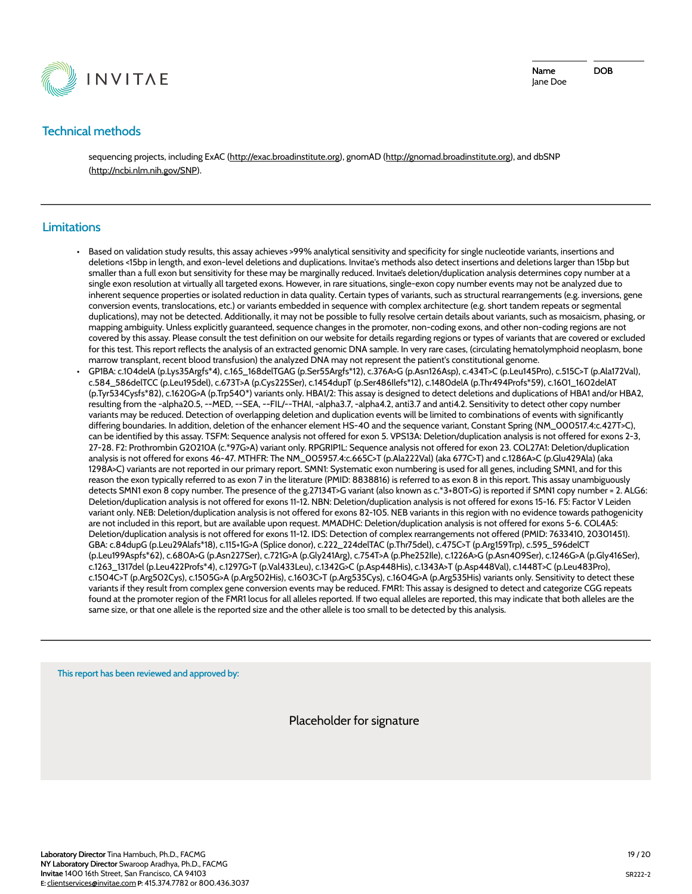

# **Technical methods**

sequencing projects, including ExAC (http://exac.broadinstitute.org), gnomAD (http://gnomad.broadinstitute.org), and dbSNP (http://ncbi.nlm.nih.gov/SNP).

### **Limitations**

- Based on validation study results, this assay achieves >99% analytical sensitivity and specificity for single nucleotide variants, insertions and deletions <15bp in length, and exon-level deletions and duplications. Invitae's methods also detect insertions and deletions larger than 15bp but smaller than a full exon but sensitivity for these may be marginally reduced. Invitae's deletion/duplication analysis determines copy number at a single exon resolution at virtually all targeted exons. However, in rare situations, single-exon copy number events may not be analyzed due to inherent sequence properties or isolated reduction in data quality. Certain types of variants, such as structural rearrangements (e.g. inversions, gene conversion events, translocations, etc.) or variants embedded in sequence with complex architecture (e.g. short tandem repeats or segmental duplications), may not be detected. Additionally, it may not be possible to fully resolve certain details about variants, such as mosaicism, phasing, or mapping ambiguity. Unless explicitly guaranteed, sequence changes in the promoter, non-coding exons, and other non-coding regions are not covered by this assay. Please consult the test definition on our website for details regarding regions or types of variants that are covered or excluded for this test. This report reflects the analysis of an extracted genomic DNA sample. In very rare cases, (circulating hematolymphoid neoplasm, bone marrow transplant, recent blood transfusion) the analyzed DNA may not represent the patient's constitutional genome.
- GP1BA: c.104delA (p.Lys35Argfs\*4), c.165\_168delTGAG (p.Ser55Argfs\*12), c.376A>G (p.Asn126Asp), c.434T>C (p.Leu145Pro), c.515C>T (p.Ala172Val), c.584\_586delTCC (p.Leu195del), c.673T>A (p.Cys225Ser), c.1454dupT (p.Ser486Ilefs\*12), c.1480delA (p.Thr494Profs\*59), c.1601\_1602delAT (p.Tyr534Cysfs\*82), c.1620G>A (p.Trp540\*) variants only. HBA1/2: This assay is designed to detect deletions and duplications of HBA1 and/or HBA2, resulting from the -alpha20.5, --MED, --SEA, --FIL/--THAI, -alpha3.7, -alpha4.2, anti3.7 and anti4.2. Sensitivity to detect other copy number variants may be reduced. Detection of overlapping deletion and duplication events will be limited to combinations of events with significantly differing boundaries. In addition, deletion of the enhancer element HS-40 and the sequence variant, Constant Spring (NM\_000517.4:c.427T>C), can be identified by this assay. TSFM: Sequence analysis not offered for exon 5. VPS13A: Deletion/duplication analysis is not offered for exons 2-3, 27-28. F2: Prothrombin G20210A (c.\*97G>A) variant only. RPGRIP1L: Sequence analysis not offered for exon 23. COL27A1: Deletion/duplication analysis is not offered for exons 46-47. MTHFR: The NM\_005957.4:c.665C>T (p.Ala222Val) (aka 677C>T) and c.1286A>C (p.Glu429Ala) (aka 1298A>C) variants are not reported in our primary report. SMN1: Systematic exon numbering is used for all genes, including SMN1, and for this reason the exon typically referred to as exon 7 in the literature (PMID: 8838816) is referred to as exon 8 in this report. This assay unambiguously detects SMN1 exon 8 copy number. The presence of the g.27134T>G variant (also known as c.\*3+80T>G) is reported if SMN1 copy number = 2. ALG6: Deletion/duplication analysis is not offered for exons 11-12. NBN: Deletion/duplication analysis is not offered for exons 15-16. F5: Factor V Leiden variant only. NEB: Deletion/duplication analysis is not offered for exons 82-105. NEB variants in this region with no evidence towards pathogenicity are not included in this report, but are available upon request. MMADHC: Deletion/duplication analysis is not offered for exons 5-6. COL4A5: Deletion/duplication analysis is not offered for exons 11-12. IDS: Detection of complex rearrangements not offered (PMID: 7633410, 20301451). GBA: c.84dupG (p.Leu29Alafs\*18), c.115+1G>A (Splice donor), c.222\_224delTAC (p.Thr75del), c.475C>T (p.Arg159Trp), c.595\_596delCT (p.Leu199Aspfs\*62), c.680A>G (p.Asn227Ser), c.721G>A (p.Gly241Arg), c.754T>A (p.Phe252Ile), c.1226A>G (p.Asn409Ser), c.1246G>A (p.Gly416Ser), c.1263\_1317del (p.Leu422Profs\*4), c.1297G>T (p.Val433Leu), c.1342G>C (p.Asp448His), c.1343A>T (p.Asp448Val), c.1448T>C (p.Leu483Pro), c.1504C>T (p.Arg502Cys), c.1505G>A (p.Arg502His), c.1603C>T (p.Arg535Cys), c.1604G>A (p.Arg535His) variants only. Sensitivity to detect these variants if they result from complex gene conversion events may be reduced. FMR1: This assay is designed to detect and categorize CGG repeats found at the promoter region of the FMR1 locus for all alleles reported. If two equal alleles are reported, this may indicate that both alleles are the same size, or that one allele is the reported size and the other allele is too small to be detected by this analysis.

This report has been reviewed and approved by:

Placeholder for signature